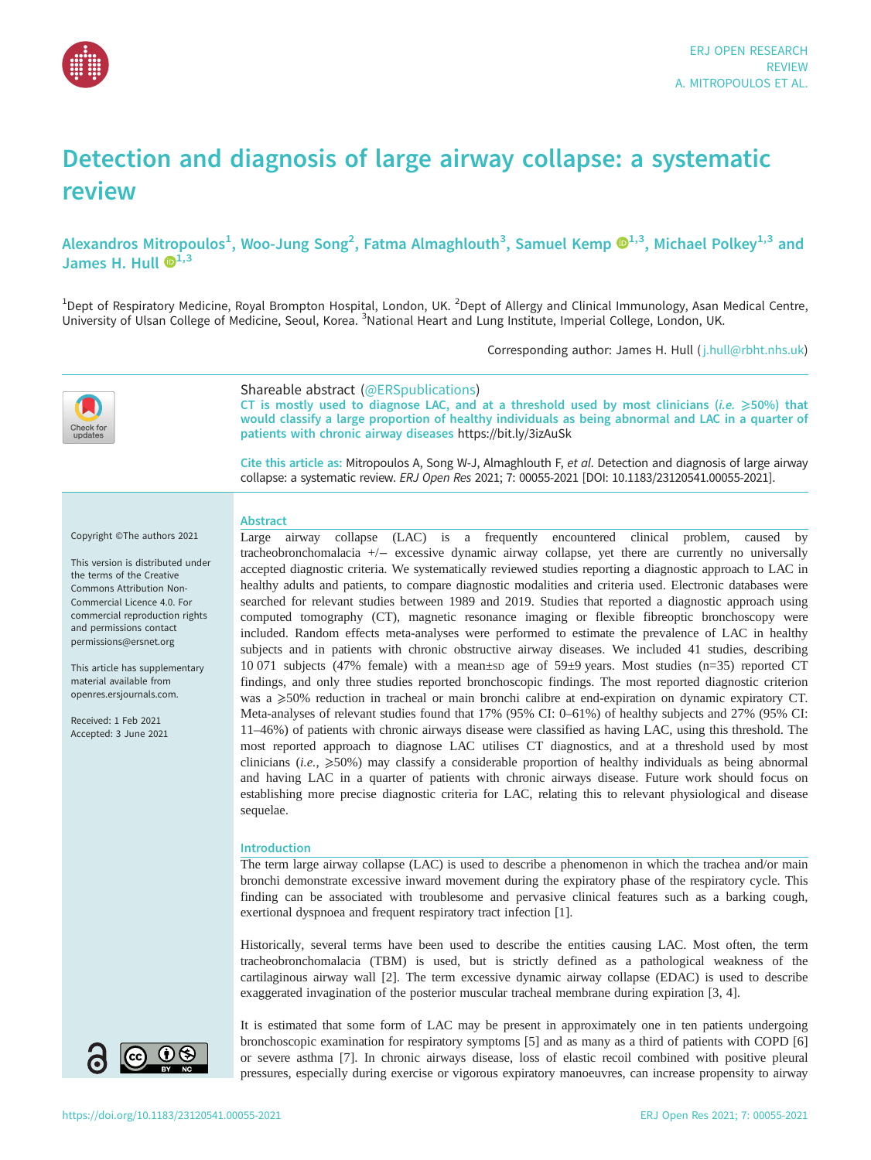

# Detection and diagnosis of large airway collapse: a systematic review

Alexandros Mitropoulos $^1$ , Woo-Jung Song $^2$ , Fatma Almaghlouth $^3$ , Samuel Kemp  $\mathbf{O}^{1,3}$ , Michael Polkey $^{1,3}$  and James H. Hull  $\mathbf{D}^{1,3}$ 

<sup>1</sup>Dept of Respiratory Medicine, Royal Brompton Hospital, London, UK. <sup>2</sup>Dept of Allergy and Clinical Immunology, Asan Medical Centre, University of Ulsan College of Medicine, Seoul, Korea. <sup>3</sup>National Heart and Lung Institute, Imperial College, London, UK.

Corresponding author: James H. Hull ( [j.hull@rbht.nhs.uk](mailto:j.hull@rbht.nhs.uk))



# Shareable abstract (@ERSpublications)

CT is mostly used to diagnose LAC, and at a threshold used by most clinicians (*i.e.*  $\geq$ 50%) that would classify a large proportion of healthy individuals as being abnormal and LAC in a quarter of patients with chronic airway diseases <https://bit.ly/3izAuSk>

Cite this article as: Mitropoulos A, Song W-J, Almaghlouth F, et al. Detection and diagnosis of large airway collapse: a systematic review. ERJ Open Res 2021; 7: 00055-2021 [\[DOI: 10.1183/23120541.00055-2021\].](https://doi.org/10.1183/23120541.00055-2021)

# **Abstract**

Copyright ©The authors 2021

This version is distributed under the terms of the Creative Commons Attribution Non-Commercial Licence 4.0. For commercial reproduction rights and permissions contact [permissions@ersnet.org](mailto:permissions@ersnet.org)

This article has supplementary material available from [openres.ersjournals.com.](openres.ersjournals.com)

Received: 1 Feb 2021 Accepted: 3 June 2021 Large airway collapse (LAC) is a frequently encountered clinical problem, caused by tracheobronchomalacia +/− excessive dynamic airway collapse, yet there are currently no universally accepted diagnostic criteria. We systematically reviewed studies reporting a diagnostic approach to LAC in healthy adults and patients, to compare diagnostic modalities and criteria used. Electronic databases were searched for relevant studies between 1989 and 2019. Studies that reported a diagnostic approach using computed tomography (CT), magnetic resonance imaging or flexible fibreoptic bronchoscopy were included. Random effects meta-analyses were performed to estimate the prevalence of LAC in healthy subjects and in patients with chronic obstructive airway diseases. We included 41 studies, describing 10 071 subjects (47% female) with a mean±SD age of 59±9 years. Most studies (n=35) reported CT findings, and only three studies reported bronchoscopic findings. The most reported diagnostic criterion was a  $\geq$ 50% reduction in tracheal or main bronchi calibre at end-expiration on dynamic expiratory CT. Meta-analyses of relevant studies found that 17% (95% CI: 0–61%) of healthy subjects and 27% (95% CI: 11–46%) of patients with chronic airways disease were classified as having LAC, using this threshold. The most reported approach to diagnose LAC utilises CT diagnostics, and at a threshold used by most clinicians (*i.e.*,  $\geqslant$ 50%) may classify a considerable proportion of healthy individuals as being abnormal and having LAC in a quarter of patients with chronic airways disease. Future work should focus on establishing more precise diagnostic criteria for LAC, relating this to relevant physiological and disease sequelae.

# Introduction

The term large airway collapse (LAC) is used to describe a phenomenon in which the trachea and/or main bronchi demonstrate excessive inward movement during the expiratory phase of the respiratory cycle. This finding can be associated with troublesome and pervasive clinical features such as a barking cough, exertional dyspnoea and frequent respiratory tract infection [\[1\]](#page-15-0).

Historically, several terms have been used to describe the entities causing LAC. Most often, the term tracheobronchomalacia (TBM) is used, but is strictly defined as a pathological weakness of the cartilaginous airway wall [[2](#page-15-0)]. The term excessive dynamic airway collapse (EDAC) is used to describe exaggerated invagination of the posterior muscular tracheal membrane during expiration [\[3, 4](#page-15-0)].

It is estimated that some form of LAC may be present in approximately one in ten patients undergoing bronchoscopic examination for respiratory symptoms [[5](#page-15-0)] and as many as a third of patients with COPD [\[6\]](#page-15-0) or severe asthma [\[7\]](#page-15-0). In chronic airways disease, loss of elastic recoil combined with positive pleural pressures, especially during exercise or vigorous expiratory manoeuvres, can increase propensity to airway

 $\mathbf{\Theta}(i)$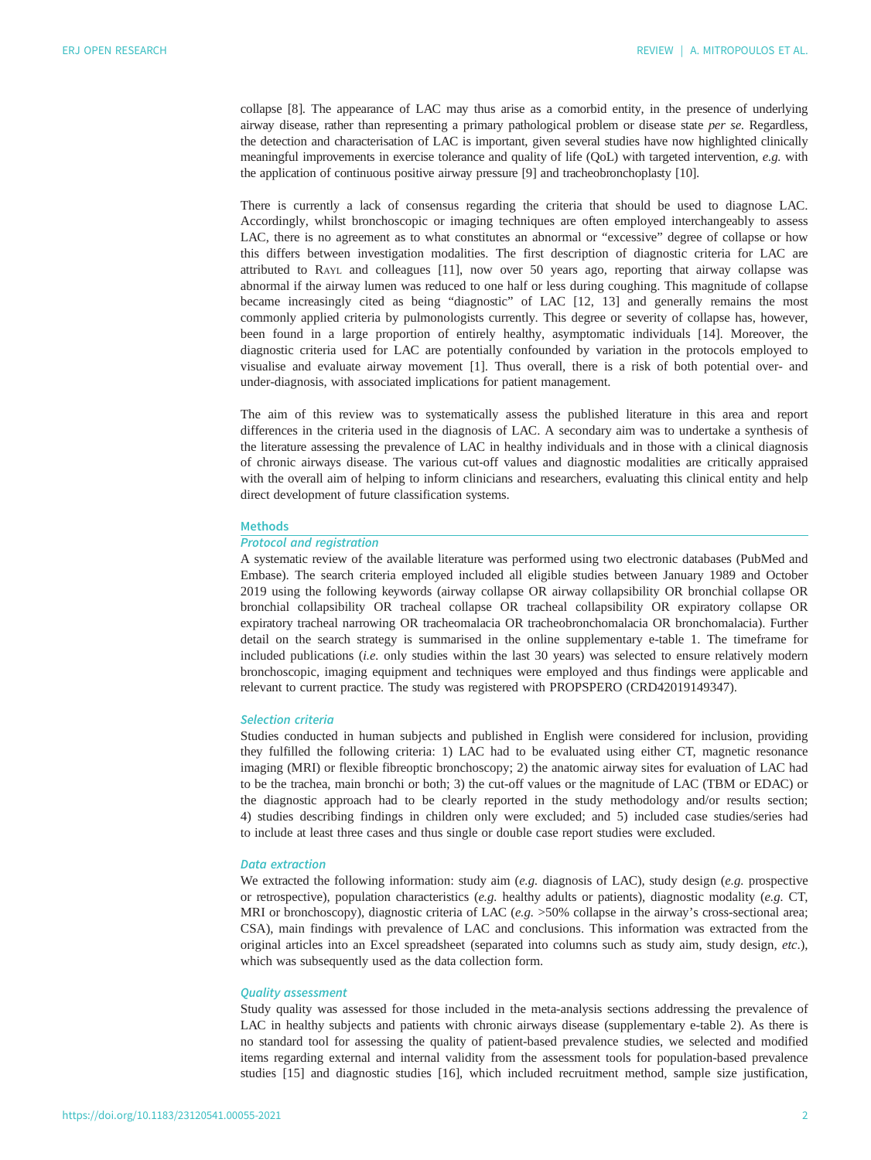collapse [[8](#page-15-0)]. The appearance of LAC may thus arise as a comorbid entity, in the presence of underlying airway disease, rather than representing a primary pathological problem or disease state per se. Regardless, the detection and characterisation of LAC is important, given several studies have now highlighted clinically meaningful improvements in exercise tolerance and quality of life (QoL) with targeted intervention, e.g. with the application of continuous positive airway pressure [[9](#page-15-0)] and tracheobronchoplasty [[10\]](#page-15-0).

There is currently a lack of consensus regarding the criteria that should be used to diagnose LAC. Accordingly, whilst bronchoscopic or imaging techniques are often employed interchangeably to assess LAC, there is no agreement as to what constitutes an abnormal or "excessive" degree of collapse or how this differs between investigation modalities. The first description of diagnostic criteria for LAC are attributed to RAYL and colleagues [[11\]](#page-15-0), now over 50 years ago, reporting that airway collapse was abnormal if the airway lumen was reduced to one half or less during coughing. This magnitude of collapse became increasingly cited as being "diagnostic" of LAC [\[12](#page-15-0), [13\]](#page-15-0) and generally remains the most commonly applied criteria by pulmonologists currently. This degree or severity of collapse has, however, been found in a large proportion of entirely healthy, asymptomatic individuals [\[14](#page-15-0)]. Moreover, the diagnostic criteria used for LAC are potentially confounded by variation in the protocols employed to visualise and evaluate airway movement [\[1\]](#page-15-0). Thus overall, there is a risk of both potential over- and under-diagnosis, with associated implications for patient management.

The aim of this review was to systematically assess the published literature in this area and report differences in the criteria used in the diagnosis of LAC. A secondary aim was to undertake a synthesis of the literature assessing the prevalence of LAC in healthy individuals and in those with a clinical diagnosis of chronic airways disease. The various cut-off values and diagnostic modalities are critically appraised with the overall aim of helping to inform clinicians and researchers, evaluating this clinical entity and help direct development of future classification systems.

#### Methods

# Protocol and registration

A systematic review of the available literature was performed using two electronic databases (PubMed and Embase). The search criteria employed included all eligible studies between January 1989 and October 2019 using the following keywords (airway collapse OR airway collapsibility OR bronchial collapse OR bronchial collapsibility OR tracheal collapse OR tracheal collapsibility OR expiratory collapse OR expiratory tracheal narrowing OR tracheomalacia OR tracheobronchomalacia OR bronchomalacia). Further detail on the search strategy is summarised in the online supplementary [e-table 1.](http://openres.ersjournals.com/lookup/doi/10.1183/23120541.00055-2021.figures-only#fig-data-supplementary-materials) The timeframe for included publications (i.e. only studies within the last 30 years) was selected to ensure relatively modern bronchoscopic, imaging equipment and techniques were employed and thus findings were applicable and relevant to current practice. The study was registered with PROPSPERO (CRD42019149347).

#### Selection criteria

Studies conducted in human subjects and published in English were considered for inclusion, providing they fulfilled the following criteria: 1) LAC had to be evaluated using either CT, magnetic resonance imaging (MRI) or flexible fibreoptic bronchoscopy; 2) the anatomic airway sites for evaluation of LAC had to be the trachea, main bronchi or both; 3) the cut-off values or the magnitude of LAC (TBM or EDAC) or the diagnostic approach had to be clearly reported in the study methodology and/or results section; 4) studies describing findings in children only were excluded; and 5) included case studies/series had to include at least three cases and thus single or double case report studies were excluded.

#### Data extraction

We extracted the following information: study aim (e.g. diagnosis of LAC), study design (e.g. prospective or retrospective), population characteristics (e.g. healthy adults or patients), diagnostic modality (e.g. CT, MRI or bronchoscopy), diagnostic criteria of LAC (e.g. >50% collapse in the airway's cross-sectional area; CSA), main findings with prevalence of LAC and conclusions. This information was extracted from the original articles into an Excel spreadsheet (separated into columns such as study aim, study design, etc.), which was subsequently used as the data collection form.

### Quality assessment

Study quality was assessed for those included in the meta-analysis sections addressing the prevalence of LAC in healthy subjects and patients with chronic airways disease (supplementary [e-table 2](http://openres.ersjournals.com/lookup/doi/10.1183/23120541.00055-2021.figures-only#fig-data-supplementary-materials)). As there is no standard tool for assessing the quality of patient-based prevalence studies, we selected and modified items regarding external and internal validity from the assessment tools for population-based prevalence studies [\[15](#page-15-0)] and diagnostic studies [[16\]](#page-15-0), which included recruitment method, sample size justification,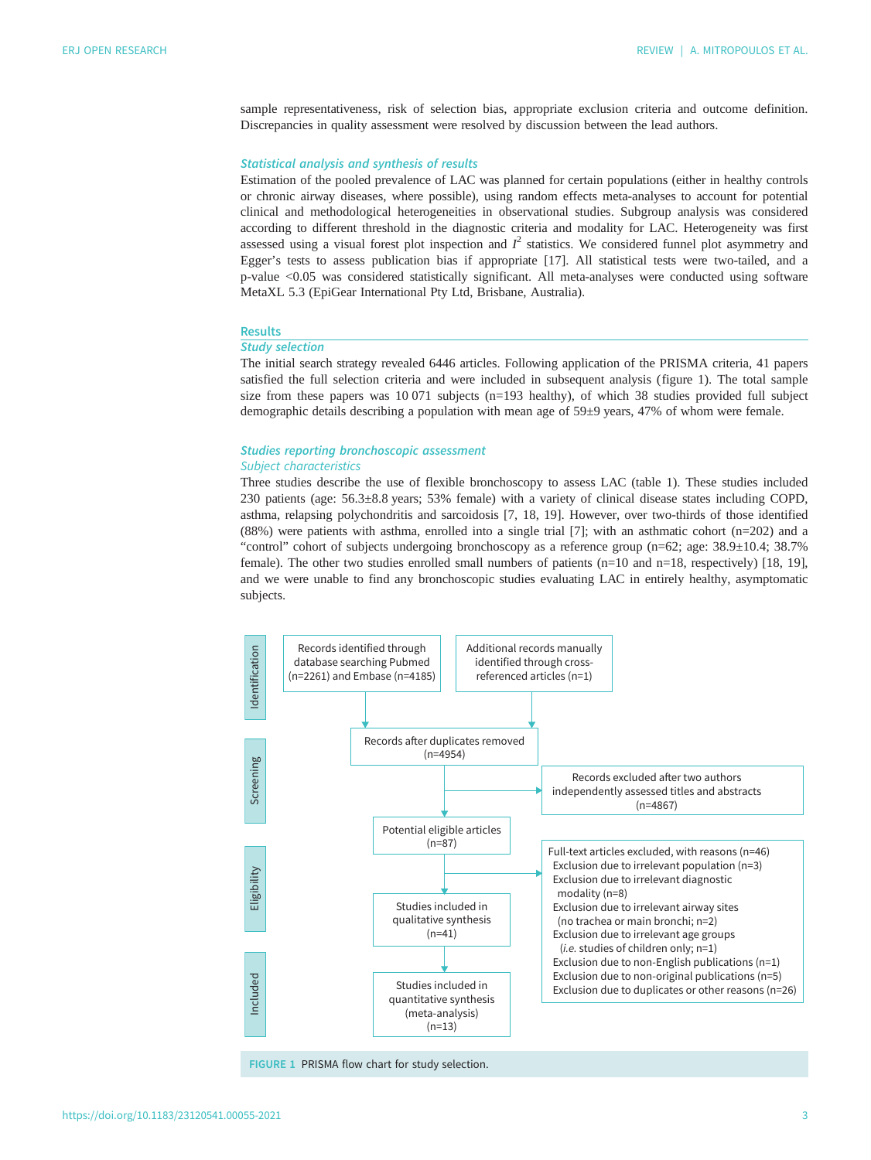sample representativeness, risk of selection bias, appropriate exclusion criteria and outcome definition. Discrepancies in quality assessment were resolved by discussion between the lead authors.

# Statistical analysis and synthesis of results

Estimation of the pooled prevalence of LAC was planned for certain populations (either in healthy controls or chronic airway diseases, where possible), using random effects meta-analyses to account for potential clinical and methodological heterogeneities in observational studies. Subgroup analysis was considered according to different threshold in the diagnostic criteria and modality for LAC. Heterogeneity was first assessed using a visual forest plot inspection and  $I^2$  statistics. We considered funnel plot asymmetry and<br>Eggen's tests to assess publication bias if appropriate [17] All statistical tests were two-tailed and a Egger's tests to assess publication bias if appropriate [\[17](#page-15-0)]. All statistical tests were two-tailed, and a <sup>p</sup>-value <0.05 was considered statistically significant. All meta-analyses were conducted using software MetaXL 5.3 (EpiGear International Pty Ltd, Brisbane, Australia).

# Results

# Study selection

The initial search strategy revealed 6446 articles. Following application of the PRISMA criteria, 41 papers satisfied the full selection criteria and were included in subsequent analysis (figure 1). The total sample size from these papers was 10 071 subjects (n=193 healthy), of which 38 studies provided full subject demographic details describing a population with mean age of 59±9 years, 47% of whom were female.

# Studies reporting bronchoscopic assessment Subject characteristics

Three studies describe the use of flexible bronchoscopy to assess LAC ([table 1](#page-3-0)). These studies included 230 patients (age: 56.3±8.8 years; 53% female) with a variety of clinical disease states including COPD, asthma, relapsing polychondritis and sarcoidosis [\[7, 18, 19](#page-15-0)]. However, over two-thirds of those identified (88%) were patients with asthma, enrolled into a single trial [[7](#page-15-0)]; with an asthmatic cohort (n=202) and a "control" cohort of subjects undergoing bronchoscopy as a reference group (n=62; age: 38.9±10.4; 38.7% female). The other two studies enrolled small numbers of patients (n=10 and n=18, respectively) [\[18](#page-15-0), [19\]](#page-15-0), and we were unable to find any bronchoscopic studies evaluating LAC in entirely healthy, asymptomatic subjects.



FIGURE 1 PRISMA flow chart for study selection.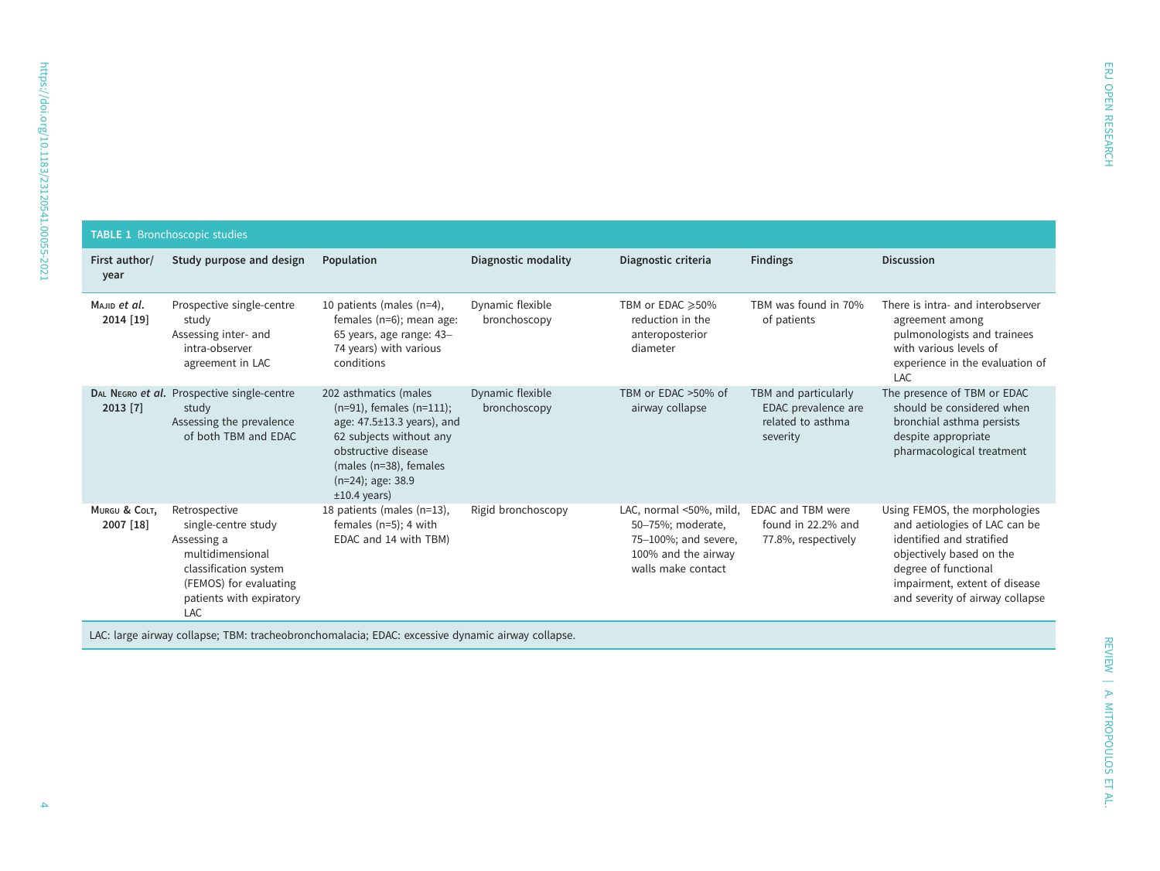<span id="page-3-0"></span>

| <b>TABLE 1 Bronchoscopic studies</b> |                                                                                                                                                                      |                                                                                                                                                                                                                   |                                  |                                                                                                                   |                                                                              |                                                                                                                                                                                                                     |  |
|--------------------------------------|----------------------------------------------------------------------------------------------------------------------------------------------------------------------|-------------------------------------------------------------------------------------------------------------------------------------------------------------------------------------------------------------------|----------------------------------|-------------------------------------------------------------------------------------------------------------------|------------------------------------------------------------------------------|---------------------------------------------------------------------------------------------------------------------------------------------------------------------------------------------------------------------|--|
| First author/<br>year                | Study purpose and design                                                                                                                                             | Population                                                                                                                                                                                                        | Diagnostic modality              | Diagnostic criteria                                                                                               | <b>Findings</b>                                                              | <b>Discussion</b>                                                                                                                                                                                                   |  |
| Majip et al.<br>2014 [19]            | Prospective single-centre<br>study<br>Assessing inter- and<br>intra-observer<br>agreement in LAC                                                                     | 10 patients (males (n=4),<br>females (n=6); mean age:<br>65 years, age range: 43-<br>74 years) with various<br>conditions                                                                                         | Dynamic flexible<br>bronchoscopy | TBM or EDAC ≥50%<br>reduction in the<br>anteroposterior<br>diameter                                               | TBM was found in 70%<br>of patients                                          | There is intra- and interobserver<br>agreement among<br>pulmonologists and trainees<br>with various levels of<br>experience in the evaluation of<br>LAC                                                             |  |
| $2013$ [7]                           | DAL NEGRO et al. Prospective single-centre<br>study<br>Assessing the prevalence<br>of both TBM and EDAC                                                              | 202 asthmatics (males<br>$(n=91)$ , females $(n=111)$ ;<br>age: $47.5 \pm 13.3$ years), and<br>62 subjects without any<br>obstructive disease<br>(males (n=38), females<br>$(n=24)$ ; age: 38.9<br>$±10.4$ years) | Dynamic flexible<br>bronchoscopy | TBM or EDAC >50% of<br>airway collapse                                                                            | TBM and particularly<br>EDAC prevalence are<br>related to asthma<br>severity | The presence of TBM or EDAC<br>should be considered when<br>bronchial asthma persists<br>despite appropriate<br>pharmacological treatment                                                                           |  |
| MURGU & COLT,<br>2007 [18]           | Retrospective<br>single-centre study<br>Assessing a<br>multidimensional<br>classification system<br>(FEMOS) for evaluating<br>patients with expiratory<br><b>LAC</b> | 18 patients (males (n=13),<br>females $(n=5)$ ; 4 with<br>EDAC and 14 with TBM)                                                                                                                                   | Rigid bronchoscopy               | LAC, normal <50%, mild,<br>50-75%; moderate,<br>75-100%; and severe,<br>100% and the airway<br>walls make contact | EDAC and TBM were<br>found in 22.2% and<br>77.8%, respectively               | Using FEMOS, the morphologies<br>and aetiologies of LAC can be<br>identified and stratified<br>objectively based on the<br>degree of functional<br>impairment, extent of disease<br>and severity of airway collapse |  |

LAC: large airway collapse; TBM: tracheobronchomalacia; EDAC: excessive dynamic airway collapse.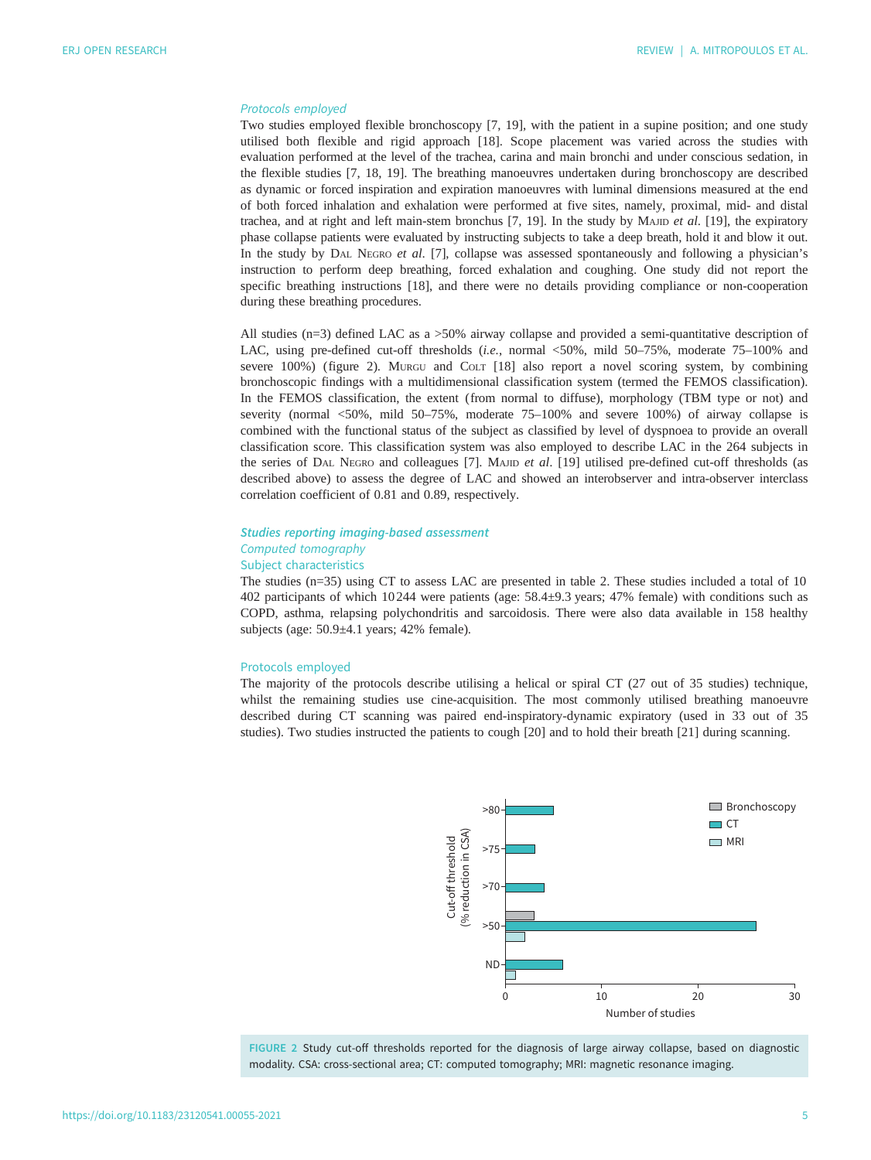#### <span id="page-4-0"></span>Protocols employed

Two studies employed flexible bronchoscopy [[7](#page-15-0), [19\]](#page-15-0), with the patient in a supine position; and one study utilised both flexible and rigid approach [[18\]](#page-15-0). Scope placement was varied across the studies with evaluation performed at the level of the trachea, carina and main bronchi and under conscious sedation, in the flexible studies [[7](#page-15-0), [18, 19](#page-15-0)]. The breathing manoeuvres undertaken during bronchoscopy are described as dynamic or forced inspiration and expiration manoeuvres with luminal dimensions measured at the end of both forced inhalation and exhalation were performed at five sites, namely, proximal, mid- and distal trachea, and at right and left main-stem bronchus  $[7, 19]$  $[7, 19]$ . In the study by MAJID et al.  $[19]$  $[19]$ , the expiratory phase collapse patients were evaluated by instructing subjects to take a deep breath, hold it and blow it out. In the study by DAL NEGRO et al. [[7](#page-15-0)], collapse was assessed spontaneously and following a physician'<sup>s</sup> instruction to perform deep breathing, forced exhalation and coughing. One study did not report the specific breathing instructions [[18\]](#page-15-0), and there were no details providing compliance or non-cooperation during these breathing procedures.

All studies (n=3) defined LAC as a >50% airway collapse and provided a semi-quantitative description of LAC, using pre-defined cut-off thresholds (i.e., normal <50%, mild 50–75%, moderate 75–100% and severe 100%) (figure 2). MURGU and COLT [[18\]](#page-15-0) also report a novel scoring system, by combining bronchoscopic findings with a multidimensional classification system (termed the FEMOS classification). In the FEMOS classification, the extent (from normal to diffuse), morphology (TBM type or not) and severity (normal <50%, mild 50–75%, moderate 75–100% and severe 100%) of airway collapse is combined with the functional status of the subject as classified by level of dyspnoea to provide an overall classification score. This classification system was also employed to describe LAC in the 264 subjects in the series of DAL NEGRO and colleagues [\[7\]](#page-15-0). MAJID et al. [[19\]](#page-15-0) utilised pre-defined cut-off thresholds (as described above) to assess the degree of LAC and showed an interobserver and intra-observer interclass correlation coefficient of 0.81 and 0.89, respectively.

# Studies reporting imaging-based assessment Computed tomography Subject characteristics

The studies (n=35) using CT to assess LAC are presented in [table 2](#page-5-0). These studies included a total of 10 402 participants of which 10 244 were patients (age: 58.4±9.3 years; 47% female) with conditions such as COPD, asthma, relapsing polychondritis and sarcoidosis. There were also data available in 158 healthy subjects (age: 50.9±4.1 years; 42% female).

#### Protocols employed

The majority of the protocols describe utilising a helical or spiral CT (27 out of 35 studies) technique, whilst the remaining studies use cine-acquisition. The most commonly utilised breathing manoeuvre described during CT scanning was paired end-inspiratory-dynamic expiratory (used in 33 out of 35 studies). Two studies instructed the patients to cough [\[20](#page-15-0)] and to hold their breath [\[21](#page-15-0)] during scanning.



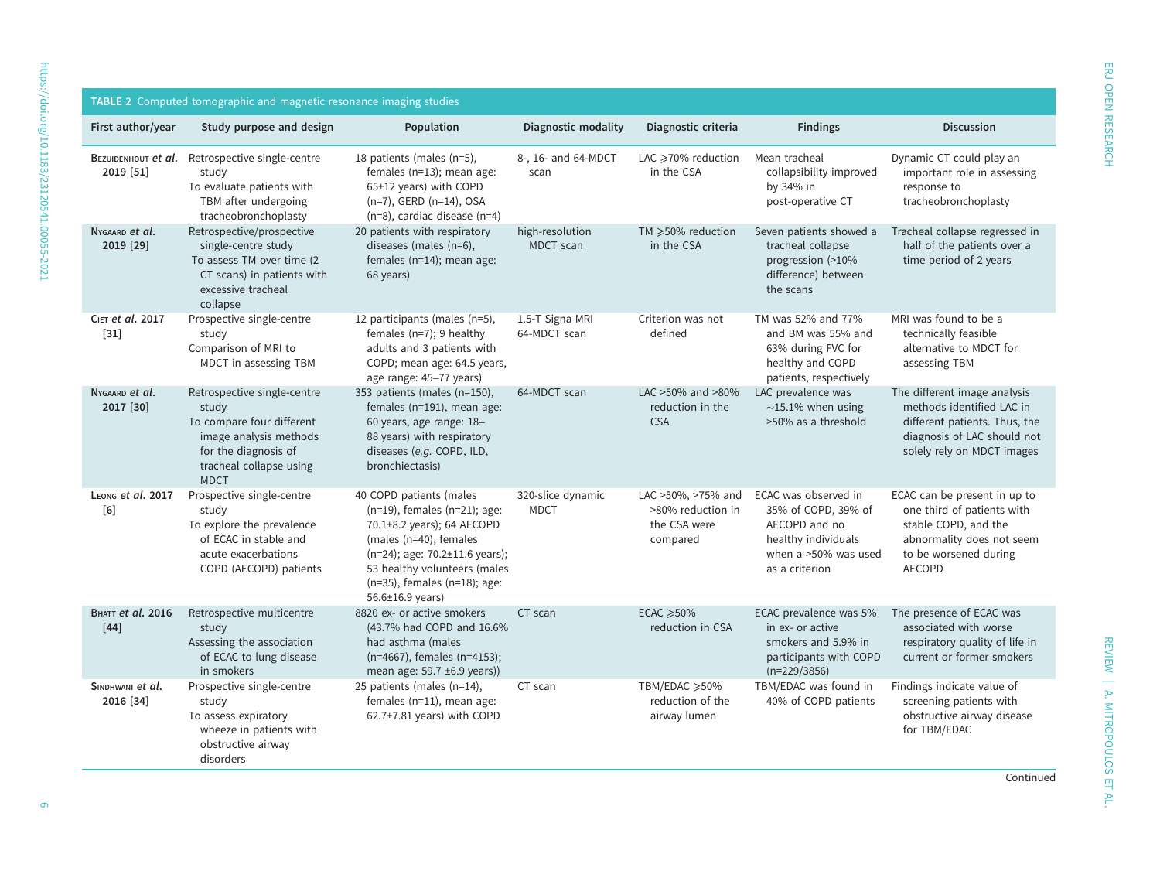<span id="page-5-0"></span>

| <b>TABLE 2</b> Computed tomographic and magnetic resonance imaging studies |                                                                                                                                                               |                                                                                                                                                                                                                                             |                                  |                                                                     |                                                                                                                               |                                                                                                                                                           |
|----------------------------------------------------------------------------|---------------------------------------------------------------------------------------------------------------------------------------------------------------|---------------------------------------------------------------------------------------------------------------------------------------------------------------------------------------------------------------------------------------------|----------------------------------|---------------------------------------------------------------------|-------------------------------------------------------------------------------------------------------------------------------|-----------------------------------------------------------------------------------------------------------------------------------------------------------|
| First author/year                                                          | Study purpose and design                                                                                                                                      | Population                                                                                                                                                                                                                                  | Diagnostic modality              | Diagnostic criteria                                                 | <b>Findings</b>                                                                                                               | <b>Discussion</b>                                                                                                                                         |
| BEZUIDENHOUT et al.<br>2019 [51]                                           | Retrospective single-centre<br>study<br>To evaluate patients with<br>TBM after undergoing<br>tracheobronchoplasty                                             | 18 patients (males (n=5),<br>females (n=13); mean age:<br>65±12 years) with COPD<br>(n=7), GERD (n=14), OSA<br>$(n=8)$ , cardiac disease $(n=4)$                                                                                            | 8-, 16- and 64-MDCT<br>scan      | LAC ≥70% reduction<br>in the CSA                                    | Mean tracheal<br>collapsibility improved<br>by 34% in<br>post-operative CT                                                    | Dynamic CT could play an<br>important role in assessing<br>response to<br>tracheobronchoplasty                                                            |
| NYGAARD et al.<br>2019 [29]                                                | Retrospective/prospective<br>single-centre study<br>To assess TM over time (2)<br>CT scans) in patients with<br>excessive tracheal<br>collapse                | 20 patients with respiratory<br>diseases (males (n=6),<br>females (n=14); mean age:<br>68 years)                                                                                                                                            | high-resolution<br>MDCT scan     | TM ≥50% reduction<br>in the CSA                                     | Seven patients showed a<br>tracheal collapse<br>progression (>10%<br>difference) between<br>the scans                         | Tracheal collapse regressed in<br>half of the patients over a<br>time period of 2 years                                                                   |
| CIET et al. 2017<br>$[31]$                                                 | Prospective single-centre<br>study<br>Comparison of MRI to<br>MDCT in assessing TBM                                                                           | 12 participants (males (n=5),<br>females $(n=7)$ ; 9 healthy<br>adults and 3 patients with<br>COPD; mean age: 64.5 years,<br>age range: 45-77 years)                                                                                        | 1.5-T Signa MRI<br>64-MDCT scan  | Criterion was not<br>defined                                        | TM was 52% and 77%<br>and BM was 55% and<br>63% during FVC for<br>healthy and COPD<br>patients, respectively                  | MRI was found to be a<br>technically feasible<br>alternative to MDCT for<br>assessing TBM                                                                 |
| NYGAARD et al.<br>2017 [30]                                                | Retrospective single-centre<br>study<br>To compare four different<br>image analysis methods<br>for the diagnosis of<br>tracheal collapse using<br><b>MDCT</b> | 353 patients (males (n=150),<br>females (n=191), mean age:<br>60 years, age range: 18-<br>88 years) with respiratory<br>diseases (e.g. COPD, ILD,<br>bronchiectasis)                                                                        | 64-MDCT scan                     | LAC >50% and >80%<br>reduction in the<br><b>CSA</b>                 | LAC prevalence was<br>$\sim$ 15.1% when using<br>>50% as a threshold                                                          | The different image analysis<br>methods identified LAC in<br>different patients. Thus, the<br>diagnosis of LAC should not<br>solely rely on MDCT images   |
| LEONG et al. 2017<br>[6]                                                   | Prospective single-centre<br>study<br>To explore the prevalence<br>of ECAC in stable and<br>acute exacerbations<br>COPD (AECOPD) patients                     | 40 COPD patients (males<br>$(n=19)$ , females $(n=21)$ ; age:<br>70.1±8.2 years); 64 AECOPD<br>(males (n=40), females<br>(n=24); age: 70.2±11.6 years);<br>53 healthy volunteers (males<br>(n=35), females (n=18); age:<br>56.6±16.9 years) | 320-slice dynamic<br><b>MDCT</b> | LAC >50%, >75% and<br>>80% reduction in<br>the CSA were<br>compared | ECAC was observed in<br>35% of COPD, 39% of<br>AECOPD and no<br>healthy individuals<br>when a >50% was used<br>as a criterion | ECAC can be present in up to<br>one third of patients with<br>stable COPD, and the<br>abnormality does not seem<br>to be worsened during<br><b>AECOPD</b> |
| <b>BHATT et al. 2016</b><br>$[44]$                                         | Retrospective multicentre<br>study<br>Assessing the association<br>of ECAC to lung disease<br>in smokers                                                      | 8820 ex- or active smokers<br>(43.7% had COPD and 16.6%<br>had asthma (males<br>(n=4667), females (n=4153);<br>mean age: 59.7 ±6.9 years))                                                                                                  | CT scan                          | $ECAC \ge 50\%$<br>reduction in CSA                                 | ECAC prevalence was 5%<br>in ex- or active<br>smokers and 5.9% in<br>participants with COPD<br>$(n=229/3856)$                 | The presence of ECAC was<br>associated with worse<br>respiratory quality of life in<br>current or former smokers                                          |
| SINDHWANI et al.<br>2016 [34]                                              | Prospective single-centre<br>study<br>To assess expiratory<br>wheeze in patients with<br>obstructive airway<br>disorders                                      | 25 patients (males (n=14),<br>females (n=11), mean age:<br>62.7±7.81 years) with COPD                                                                                                                                                       | CT scan                          | TBM/EDAC ≥50%<br>reduction of the<br>airway lumen                   | TBM/EDAC was found in<br>40% of COPD patients                                                                                 | Findings indicate value of<br>screening patients with<br>obstructive airway disease<br>for TBM/EDAC                                                       |

REVIEW | A. MITROPOULOS ET AL.

REVIEW | A. MITROPOULOS ET AL.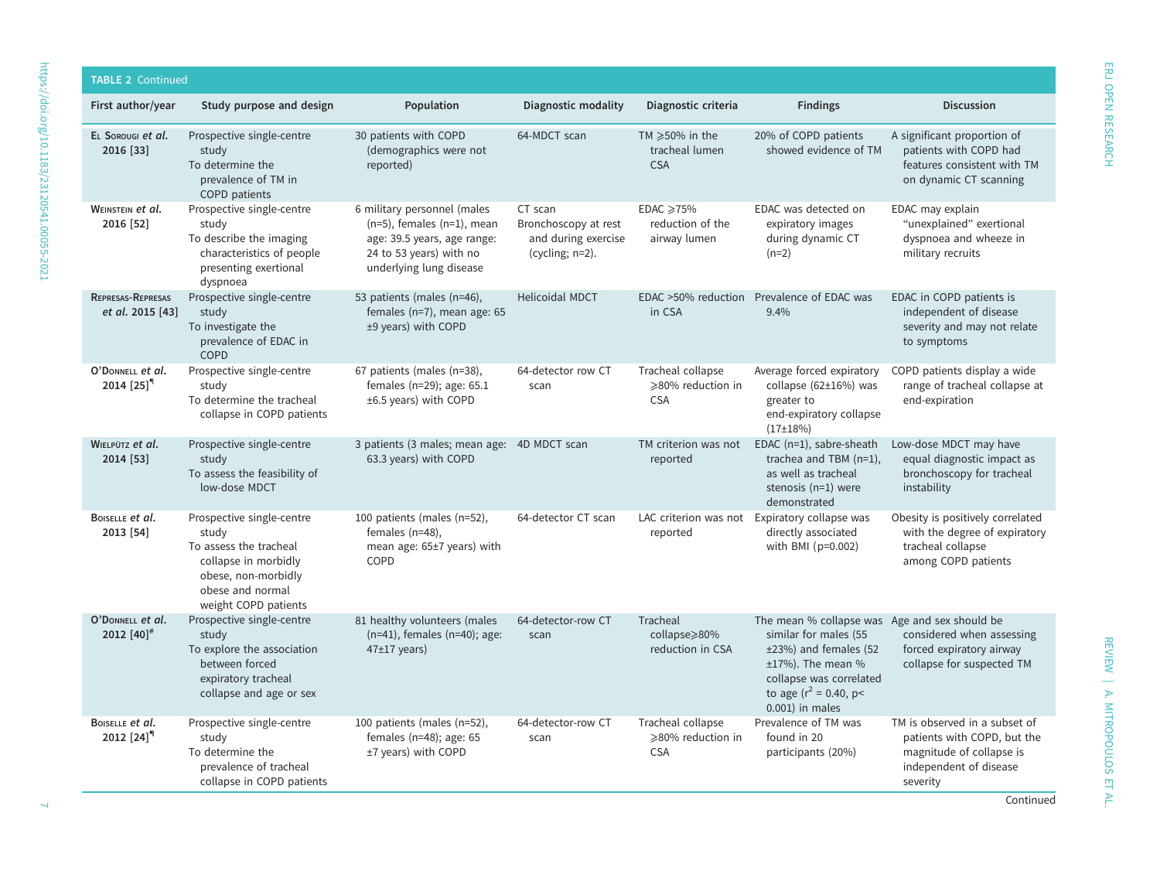| <b>TABLE 2 Continued</b>                     |                                                                                                                                                         |                                                                                                                                                      |                                                                              |                                                           |                                                                                                                                                                                                     |                                                                                                                                |
|----------------------------------------------|---------------------------------------------------------------------------------------------------------------------------------------------------------|------------------------------------------------------------------------------------------------------------------------------------------------------|------------------------------------------------------------------------------|-----------------------------------------------------------|-----------------------------------------------------------------------------------------------------------------------------------------------------------------------------------------------------|--------------------------------------------------------------------------------------------------------------------------------|
| First author/year                            | Study purpose and design                                                                                                                                | Population                                                                                                                                           | Diagnostic modality                                                          | Diagnostic criteria                                       | <b>Findings</b>                                                                                                                                                                                     | <b>Discussion</b>                                                                                                              |
| EL SOROUGI et al.<br>2016 [33]               | Prospective single-centre<br>study<br>To determine the<br>prevalence of TM in<br>COPD patients                                                          | 30 patients with COPD<br>(demographics were not<br>reported)                                                                                         | 64-MDCT scan                                                                 | TM $\geqslant$ 50% in the<br>tracheal lumen<br><b>CSA</b> | 20% of COPD patients<br>showed evidence of TM                                                                                                                                                       | A significant proportion of<br>patients with COPD had<br>features consistent with TM<br>on dynamic CT scanning                 |
| WEINSTEIN et al.<br>2016 [52]                | Prospective single-centre<br>study<br>To describe the imaging<br>characteristics of people<br>presenting exertional<br>dyspnoea                         | 6 military personnel (males<br>$(n=5)$ , females $(n=1)$ , mean<br>age: 39.5 years, age range:<br>24 to 53 years) with no<br>underlying lung disease | CT scan<br>Bronchoscopy at rest<br>and during exercise<br>(cycling; $n=2$ ). | EDAC ≥75%<br>reduction of the<br>airway lumen             | EDAC was detected on<br>expiratory images<br>during dynamic CT<br>$(n=2)$                                                                                                                           | EDAC may explain<br>"unexplained" exertional<br>dyspnoea and wheeze in<br>military recruits                                    |
| <b>REPRESAS-REPRESAS</b><br>et al. 2015 [43] | Prospective single-centre<br>study<br>To investigate the<br>prevalence of EDAC in<br><b>COPD</b>                                                        | 53 patients (males (n=46),<br>females (n=7), mean age: 65<br>±9 years) with COPD                                                                     | <b>Helicoidal MDCT</b>                                                       | EDAC >50% reduction<br>in CSA                             | Prevalence of EDAC was<br>9.4%                                                                                                                                                                      | EDAC in COPD patients is<br>independent of disease<br>severity and may not relate<br>to symptoms                               |
| O'DONNELL et al.<br>$2014$ [25] <sup>"</sup> | Prospective single-centre<br>study<br>To determine the tracheal<br>collapse in COPD patients                                                            | 67 patients (males (n=38),<br>females (n=29); age: 65.1<br>±6.5 years) with COPD                                                                     | 64-detector row CT<br>scan                                                   | Tracheal collapse<br>≥80% reduction in<br><b>CSA</b>      | Average forced expiratory<br>collapse (62±16%) was<br>greater to<br>end-expiratory collapse<br>$(17+18%)$                                                                                           | COPD patients display a wide<br>range of tracheal collapse at<br>end-expiration                                                |
| WIELPÜTZ et al.<br>2014 [53]                 | Prospective single-centre<br>study<br>To assess the feasibility of<br>low-dose MDCT                                                                     | 3 patients (3 males; mean age: 4D MDCT scan<br>63.3 years) with COPD                                                                                 |                                                                              | TM criterion was not<br>reported                          | EDAC (n=1), sabre-sheath<br>trachea and TBM (n=1),<br>as well as tracheal<br>stenosis $(n=1)$ were<br>demonstrated                                                                                  | Low-dose MDCT may have<br>equal diagnostic impact as<br>bronchoscopy for tracheal<br>instability                               |
| BOISELLE et al.<br>2013 [54]                 | Prospective single-centre<br>study<br>To assess the tracheal<br>collapse in morbidly<br>obese, non-morbidly<br>obese and normal<br>weight COPD patients | 100 patients (males (n=52),<br>females $(n=48)$ ,<br>mean age: 65±7 years) with<br>COPD                                                              | 64-detector CT scan                                                          | LAC criterion was not<br>reported                         | Expiratory collapse was<br>directly associated<br>with BMI (p=0.002)                                                                                                                                | Obesity is positively correlated<br>with the degree of expiratory<br>tracheal collapse<br>among COPD patients                  |
| O'DONNELL et al.<br>2012 $[40]$ <sup>#</sup> | Prospective single-centre<br>study<br>To explore the association<br>between forced<br>expiratory tracheal<br>collapse and age or sex                    | 81 healthy volunteers (males<br>$(n=41)$ , females $(n=40)$ ; age:<br>$47±17$ years)                                                                 | 64-detector-row CT<br>scan                                                   | Tracheal<br>collapse>80%<br>reduction in CSA              | The mean % collapse was Age and sex should be<br>similar for males (55<br>±23%) and females (52<br>$±17\%$ ). The mean %<br>collapse was correlated<br>to age ( $r^2$ = 0.40, p<<br>0.001) in males | considered when assessing<br>forced expiratory airway<br>collapse for suspected TM                                             |
| BOISELLE et al.<br>2012 $[24]$ <sup>q</sup>  | Prospective single-centre<br>study<br>To determine the<br>prevalence of tracheal<br>collapse in COPD patients                                           | 100 patients (males (n=52),<br>females ( $n=48$ ); age: 65<br>±7 years) with COPD                                                                    | 64-detector-row CT<br>scan                                                   | Tracheal collapse<br>≥80% reduction in<br><b>CSA</b>      | Prevalence of TM was<br>found in 20<br>participants (20%)                                                                                                                                           | TM is observed in a subset of<br>patients with COPD, but the<br>magnitude of collapse is<br>independent of disease<br>severity |

REVIEW | A. MITROPOULOS ET AL.

REVIEW | A. MITROPOULOS ET AL.

ERJ OPEN RESEARCH

ERJ OPEN RESEARCH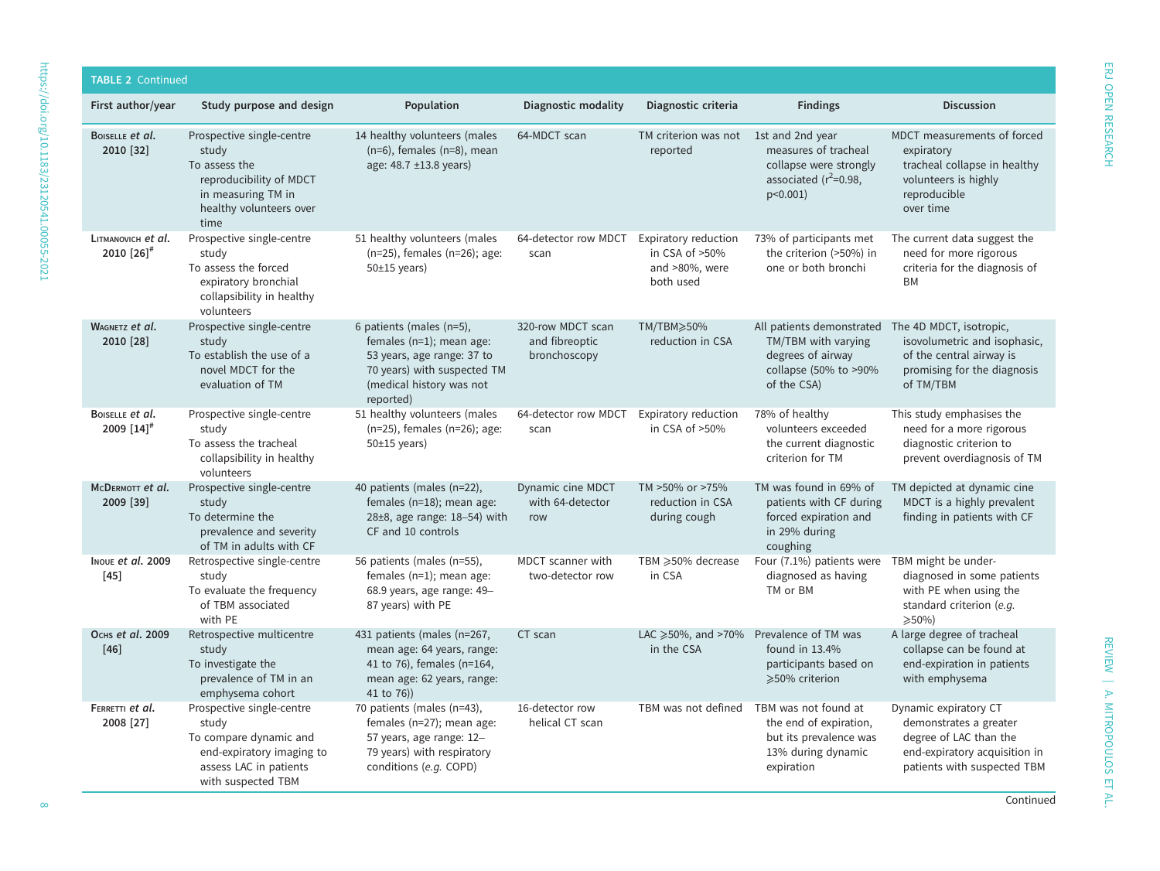| <b>TABLE 2 Continued</b>                     |                                                                                                                                           |                                                                                                                                                            |                                                     |                                                                          |                                                                                                               |                                                                                                                                           |
|----------------------------------------------|-------------------------------------------------------------------------------------------------------------------------------------------|------------------------------------------------------------------------------------------------------------------------------------------------------------|-----------------------------------------------------|--------------------------------------------------------------------------|---------------------------------------------------------------------------------------------------------------|-------------------------------------------------------------------------------------------------------------------------------------------|
| First author/year                            | Study purpose and design                                                                                                                  | Population                                                                                                                                                 | Diagnostic modality                                 | Diagnostic criteria                                                      | <b>Findings</b>                                                                                               | <b>Discussion</b>                                                                                                                         |
| BOISELLE et al.<br>2010 [32]                 | Prospective single-centre<br>study<br>To assess the<br>reproducibility of MDCT<br>in measuring TM in<br>healthy volunteers over<br>time   | 14 healthy volunteers (males<br>$(n=6)$ , females $(n=8)$ , mean<br>age: 48.7 ±13.8 years)                                                                 | 64-MDCT scan                                        | TM criterion was not 1st and 2nd year<br>reported                        | measures of tracheal<br>collapse were strongly<br>associated $(r^2=0.98,$<br>$p<0.001$ )                      | MDCT measurements of forced<br>expiratory<br>tracheal collapse in healthy<br>volunteers is highly<br>reproducible<br>over time            |
| LITMANOVICH et al.<br>2010 [26] <sup>#</sup> | Prospective single-centre<br>study<br>To assess the forced<br>expiratory bronchial<br>collapsibility in healthy<br>volunteers             | 51 healthy volunteers (males<br>(n=25), females (n=26); age:<br>$50±15$ years)                                                                             | 64-detector row MDCT<br>scan                        | Expiratory reduction<br>in CSA of $>50\%$<br>and >80%, were<br>both used | 73% of participants met<br>the criterion (>50%) in<br>one or both bronchi                                     | The current data suggest the<br>need for more rigorous<br>criteria for the diagnosis of<br>BM                                             |
| WAGNETZ et al.<br>2010 [28]                  | Prospective single-centre<br>study<br>To establish the use of a<br>novel MDCT for the<br>evaluation of TM                                 | 6 patients (males (n=5),<br>females (n=1); mean age:<br>53 years, age range: 37 to<br>70 years) with suspected TM<br>(medical history was not<br>reported) | 320-row MDCT scan<br>and fibreoptic<br>bronchoscopy | TM/TBM≥50%<br>reduction in CSA                                           | All patients demonstrated<br>TM/TBM with varying<br>degrees of airway<br>collapse (50% to >90%<br>of the CSA) | The 4D MDCT, isotropic,<br>isovolumetric and isophasic,<br>of the central airway is<br>promising for the diagnosis<br>of TM/TBM           |
| BOISELLE et al.<br>$2009$ [14] <sup>#</sup>  | Prospective single-centre<br>study<br>To assess the tracheal<br>collapsibility in healthy<br>volunteers                                   | 51 healthy volunteers (males<br>(n=25), females (n=26); age:<br>$50±15$ years)                                                                             | 64-detector row MDCT<br>scan                        | Expiratory reduction<br>in CSA of >50%                                   | 78% of healthy<br>volunteers exceeded<br>the current diagnostic<br>criterion for TM                           | This study emphasises the<br>need for a more rigorous<br>diagnostic criterion to<br>prevent overdiagnosis of TM                           |
| MCDERMOTT et al.<br>2009 [39]                | Prospective single-centre<br>study<br>To determine the<br>prevalence and severity<br>of TM in adults with CF                              | 40 patients (males (n=22),<br>females (n=18); mean age:<br>$28\pm8$ , age range: $18-54$ ) with<br>CF and 10 controls                                      | Dynamic cine MDCT<br>with 64-detector<br>row        | TM >50% or >75%<br>reduction in CSA<br>during cough                      | TM was found in 69% of<br>patients with CF during<br>forced expiration and<br>in 29% during<br>coughing       | TM depicted at dynamic cine<br>MDCT is a highly prevalent<br>finding in patients with CF                                                  |
| INOUE et al. 2009<br>$[45]$                  | Retrospective single-centre<br>study<br>To evaluate the frequency<br>of TBM associated<br>with PE                                         | 56 patients (males (n=55),<br>females $(n=1)$ ; mean age:<br>68.9 years, age range: 49-<br>87 years) with PE                                               | MDCT scanner with<br>two-detector row               | TBM ≥50% decrease<br>in CSA                                              | Four (7.1%) patients were<br>diagnosed as having<br>TM or BM                                                  | TBM might be under-<br>diagnosed in some patients<br>with PE when using the<br>standard criterion (e.g.<br>$\geqslant$ 50%)               |
| Оснь et al. 2009<br>$[46]$                   | Retrospective multicentre<br>study<br>To investigate the<br>prevalence of TM in an<br>emphysema cohort                                    | 431 patients (males (n=267,<br>mean age: 64 years, range:<br>41 to 76), females (n=164,<br>mean age: 62 years, range:<br>41 to 76))                        | CT scan                                             | LAC $\geq 50\%$ , and $>70\%$<br>in the CSA                              | Prevalence of TM was<br>found in $13.4%$<br>participants based on<br>≥50% criterion                           | A large degree of tracheal<br>collapse can be found at<br>end-expiration in patients<br>with emphysema                                    |
| FERRETTI et al.<br>2008 [27]                 | Prospective single-centre<br>study<br>To compare dynamic and<br>end-expiratory imaging to<br>assess LAC in patients<br>with suspected TBM | 70 patients (males (n=43),<br>females (n=27); mean age:<br>57 years, age range: 12-<br>79 years) with respiratory<br>conditions (e.g. COPD)                | 16-detector row<br>helical CT scan                  | TBM was not defined                                                      | TBM was not found at<br>the end of expiration,<br>but its prevalence was<br>13% during dynamic<br>expiration  | Dynamic expiratory CT<br>demonstrates a greater<br>degree of LAC than the<br>end-expiratory acquisition in<br>patients with suspected TBM |

REVIEW | A. MITROPOULOS ET AL.

REVIEW | A. MITROPOULOS ET AL.

ERJ OPEN RESEARCH

ERJ OPEN RESEARCH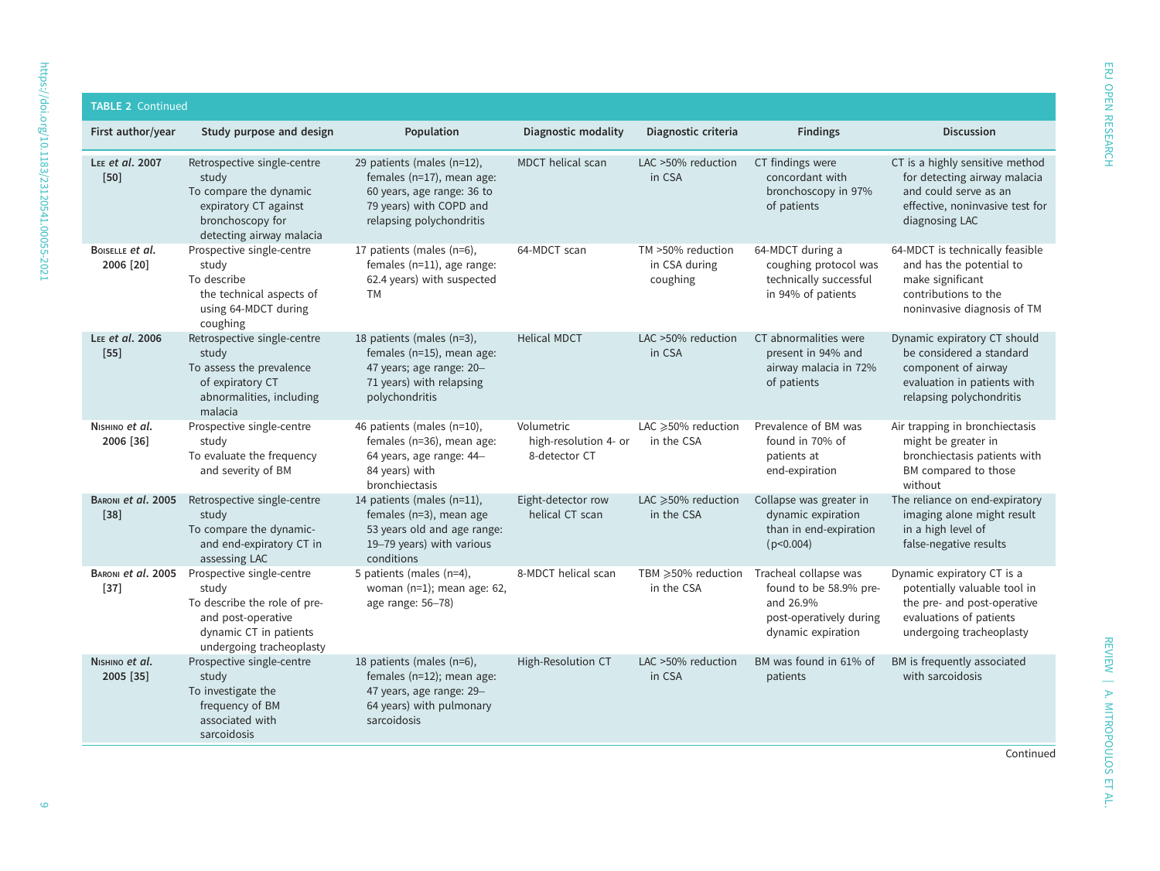| <b>TABLE 2 Continued</b>     |                                                                                                                                                |                                                                                                                                              |                                                      |                                                |                                                                                                               |                                                                                                                                                  |
|------------------------------|------------------------------------------------------------------------------------------------------------------------------------------------|----------------------------------------------------------------------------------------------------------------------------------------------|------------------------------------------------------|------------------------------------------------|---------------------------------------------------------------------------------------------------------------|--------------------------------------------------------------------------------------------------------------------------------------------------|
| First author/year            | Study purpose and design                                                                                                                       | Population                                                                                                                                   | <b>Diagnostic modality</b>                           | Diagnostic criteria                            | <b>Findings</b>                                                                                               | <b>Discussion</b>                                                                                                                                |
| LEE et al. 2007<br>$[50]$    | Retrospective single-centre<br>study<br>To compare the dynamic<br>expiratory CT against<br>bronchoscopy for<br>detecting airway malacia        | 29 patients (males (n=12),<br>females (n=17), mean age:<br>60 years, age range: 36 to<br>79 years) with COPD and<br>relapsing polychondritis | MDCT helical scan                                    | LAC >50% reduction<br>in CSA                   | CT findings were<br>concordant with<br>bronchoscopy in 97%<br>of patients                                     | CT is a highly sensitive method<br>for detecting airway malacia<br>and could serve as an<br>effective, noninvasive test for<br>diagnosing LAC    |
| BOISELLE et al.<br>2006 [20] | Prospective single-centre<br>study<br>To describe<br>the technical aspects of<br>using 64-MDCT during<br>coughing                              | 17 patients (males (n=6),<br>females (n=11), age range:<br>62.4 years) with suspected<br>TM                                                  | 64-MDCT scan                                         | TM >50% reduction<br>in CSA during<br>coughing | 64-MDCT during a<br>coughing protocol was<br>technically successful<br>in 94% of patients                     | 64-MDCT is technically feasible<br>and has the potential to<br>make significant<br>contributions to the<br>noninvasive diagnosis of TM           |
| LEE et al. 2006<br>$[55]$    | Retrospective single-centre<br>study<br>To assess the prevalence<br>of expiratory CT<br>abnormalities, including<br>malacia                    | 18 patients (males (n=3),<br>females (n=15), mean age:<br>47 years; age range: 20-<br>71 years) with relapsing<br>polychondritis             | <b>Helical MDCT</b>                                  | LAC >50% reduction<br>in CSA                   | CT abnormalities were<br>present in 94% and<br>airway malacia in 72%<br>of patients                           | Dynamic expiratory CT should<br>be considered a standard<br>component of airway<br>evaluation in patients with<br>relapsing polychondritis       |
| NISHINO et al.<br>2006 [36]  | Prospective single-centre<br>study<br>To evaluate the frequency<br>and severity of BM                                                          | 46 patients (males (n=10),<br>females (n=36), mean age:<br>64 years, age range: 44-<br>84 years) with<br>bronchiectasis                      | Volumetric<br>high-resolution 4- or<br>8-detector CT | LAC ≥50% reduction<br>in the CSA               | Prevalence of BM was<br>found in 70% of<br>patients at<br>end-expiration                                      | Air trapping in bronchiectasis<br>might be greater in<br>bronchiectasis patients with<br>BM compared to those<br>without                         |
| BARONI et al. 2005<br>$[38]$ | Retrospective single-centre<br>study<br>To compare the dynamic-<br>and end-expiratory CT in<br>assessing LAC                                   | 14 patients (males (n=11),<br>females (n=3), mean age<br>53 years old and age range:<br>19–79 years) with various<br>conditions              | Eight-detector row<br>helical CT scan                | LAC $\geqslant$ 50% reduction<br>in the CSA    | Collapse was greater in<br>dynamic expiration<br>than in end-expiration<br>(p<0.004)                          | The reliance on end-expiratory<br>imaging alone might result<br>in a high level of<br>false-negative results                                     |
| BARONI et al. 2005<br>$[37]$ | Prospective single-centre<br>study<br>To describe the role of pre-<br>and post-operative<br>dynamic CT in patients<br>undergoing tracheoplasty | 5 patients (males (n=4),<br>woman ( $n=1$ ); mean age: 62,<br>age range: 56-78)                                                              | 8-MDCT helical scan                                  | TBM ≥50% reduction<br>in the CSA               | Tracheal collapse was<br>found to be 58.9% pre-<br>and 26.9%<br>post-operatively during<br>dynamic expiration | Dynamic expiratory CT is a<br>potentially valuable tool in<br>the pre- and post-operative<br>evaluations of patients<br>undergoing tracheoplasty |
| NISHINO et al.<br>2005 [35]  | Prospective single-centre<br>study<br>To investigate the<br>frequency of BM<br>associated with<br>sarcoidosis                                  | 18 patients (males (n=6),<br>females (n=12); mean age:<br>47 years, age range: 29-<br>64 years) with pulmonary<br>sarcoidosis                | High-Resolution CT                                   | LAC >50% reduction<br>in CSA                   | BM was found in 61% of<br>patients                                                                            | BM is frequently associated<br>with sarcoidosis                                                                                                  |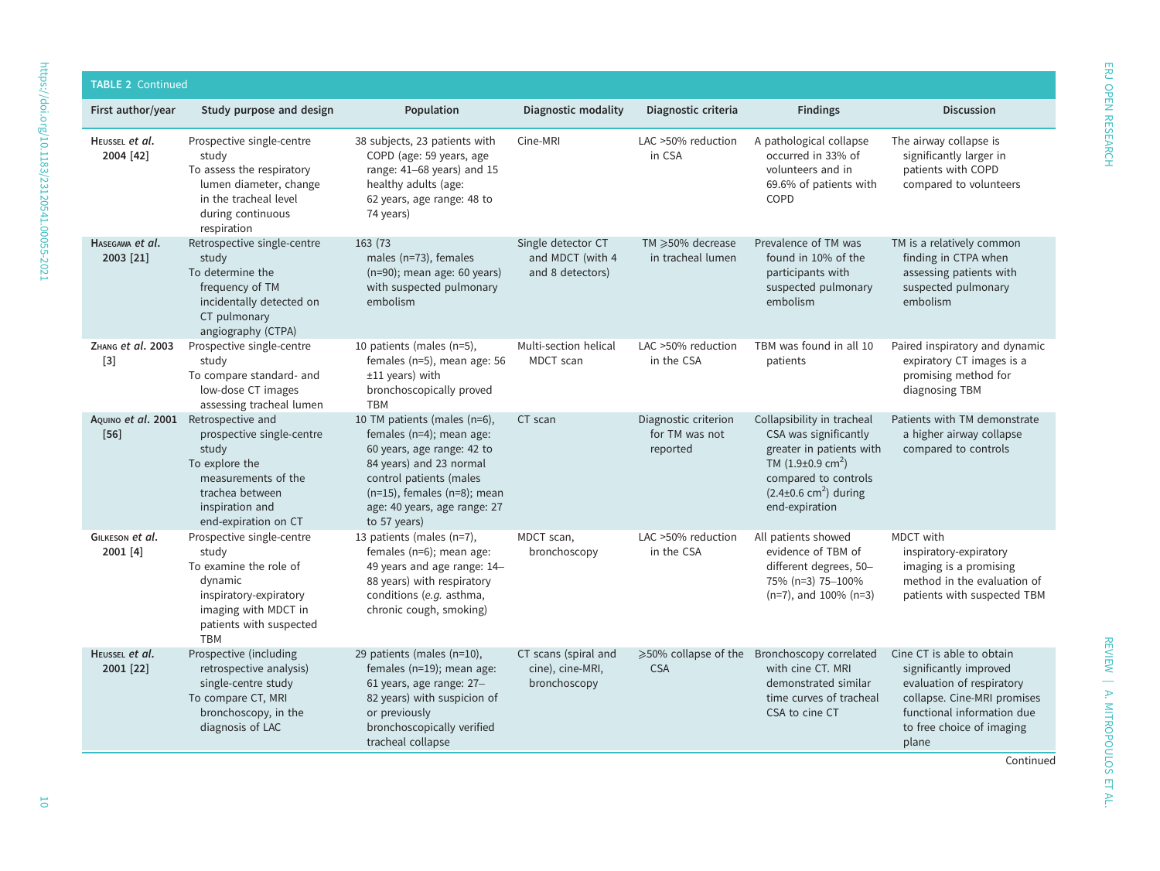| <b>TABLE 2 Continued</b>                       |                                                                                                                                                                    |                                                                                                                                                                                                                                   |                                                            |                                                    |                                                                                                                                                                                                     |                                                                                                                                                                                     |
|------------------------------------------------|--------------------------------------------------------------------------------------------------------------------------------------------------------------------|-----------------------------------------------------------------------------------------------------------------------------------------------------------------------------------------------------------------------------------|------------------------------------------------------------|----------------------------------------------------|-----------------------------------------------------------------------------------------------------------------------------------------------------------------------------------------------------|-------------------------------------------------------------------------------------------------------------------------------------------------------------------------------------|
| First author/year                              | Study purpose and design                                                                                                                                           | Population                                                                                                                                                                                                                        | Diagnostic modality                                        | Diagnostic criteria                                | <b>Findings</b>                                                                                                                                                                                     | <b>Discussion</b>                                                                                                                                                                   |
| HEUSSEL et al.<br>2004 [42]                    | Prospective single-centre<br>study<br>To assess the respiratory<br>lumen diameter, change<br>in the tracheal level<br>during continuous<br>respiration             | 38 subjects, 23 patients with<br>COPD (age: 59 years, age<br>range: 41-68 years) and 15<br>healthy adults (age:<br>62 years, age range: 48 to<br>74 years)                                                                        | Cine-MRI                                                   | LAC >50% reduction<br>in CSA                       | A pathological collapse<br>occurred in 33% of<br>volunteers and in<br>69.6% of patients with<br>COPD                                                                                                | The airway collapse is<br>significantly larger in<br>patients with COPD<br>compared to volunteers                                                                                   |
| HASEGAWA et al.<br>2003 [21]                   | Retrospective single-centre<br>study<br>To determine the<br>frequency of TM<br>incidentally detected on<br>CT pulmonary<br>angiography (CTPA)                      | 163 (73<br>males (n=73), females<br>(n=90); mean age: 60 years)<br>with suspected pulmonary<br>embolism                                                                                                                           | Single detector CT<br>and MDCT (with 4<br>and 8 detectors) | TM ≥50% decrease<br>in tracheal lumen              | Prevalence of TM was<br>found in 10% of the<br>participants with<br>suspected pulmonary<br>embolism                                                                                                 | TM is a relatively common<br>finding in CTPA when<br>assessing patients with<br>suspected pulmonary<br>embolism                                                                     |
| ZHANG et al. 2003<br>$[3]$                     | Prospective single-centre<br>study<br>To compare standard- and<br>low-dose CT images<br>assessing tracheal lumen                                                   | 10 patients (males (n=5),<br>females (n=5), mean age: 56<br>$±11$ years) with<br>bronchoscopically proved<br><b>TBM</b>                                                                                                           | Multi-section helical<br>MDCT scan                         | LAC >50% reduction<br>in the CSA                   | TBM was found in all 10<br>patients                                                                                                                                                                 | Paired inspiratory and dynamic<br>expiratory CT images is a<br>promising method for<br>diagnosing TBM                                                                               |
| AQUINO et al. 2001 Retrospective and<br>$[56]$ | prospective single-centre<br>study<br>To explore the<br>measurements of the<br>trachea between<br>inspiration and<br>end-expiration on CT                          | 10 TM patients (males (n=6),<br>females (n=4); mean age:<br>60 years, age range: 42 to<br>84 years) and 23 normal<br>control patients (males<br>$(n=15)$ , females $(n=8)$ ; mean<br>age: 40 years, age range: 27<br>to 57 years) | CT scan                                                    | Diagnostic criterion<br>for TM was not<br>reported | Collapsibility in tracheal<br>CSA was significantly<br>greater in patients with<br>TM $(1.9\pm0.9 \text{ cm}^2)$<br>compared to controls<br>$(2.4\pm0.6$ cm <sup>2</sup> ) during<br>end-expiration | Patients with TM demonstrate<br>a higher airway collapse<br>compared to controls                                                                                                    |
| GILKESON et al.<br>2001 [4]                    | Prospective single-centre<br>study<br>To examine the role of<br>dynamic<br>inspiratory-expiratory<br>imaging with MDCT in<br>patients with suspected<br><b>TBM</b> | 13 patients (males (n=7),<br>females (n=6); mean age:<br>49 years and age range: 14-<br>88 years) with respiratory<br>conditions (e.g. asthma,<br>chronic cough, smoking)                                                         | MDCT scan,<br>bronchoscopy                                 | LAC >50% reduction<br>in the CSA                   | All patients showed<br>evidence of TBM of<br>different degrees, 50-<br>75% (n=3) 75-100%<br>$(n=7)$ , and 100% $(n=3)$                                                                              | MDCT with<br>inspiratory-expiratory<br>imaging is a promising<br>method in the evaluation of<br>patients with suspected TBM                                                         |
| HEUSSEL et al.<br>2001 [22]                    | Prospective (including<br>retrospective analysis)<br>single-centre study<br>To compare CT, MRI<br>bronchoscopy, in the<br>diagnosis of LAC                         | 29 patients (males (n=10),<br>females (n=19); mean age:<br>61 years, age range: 27-<br>82 years) with suspicion of<br>or previously<br>bronchoscopically verified<br>tracheal collapse                                            | CT scans (spiral and<br>cine), cine-MRI,<br>bronchoscopy   | <b>CSA</b>                                         | ≥50% collapse of the Bronchoscopy correlated<br>with cine CT. MRI<br>demonstrated similar<br>time curves of tracheal<br>CSA to cine CT                                                              | Cine CT is able to obtain<br>significantly improved<br>evaluation of respiratory<br>collapse. Cine-MRI promises<br>functional information due<br>to free choice of imaging<br>plane |

REVIEW | A. MITROPOULOS ET AL.

REVIEW | A. MITROPOULOS ET AL.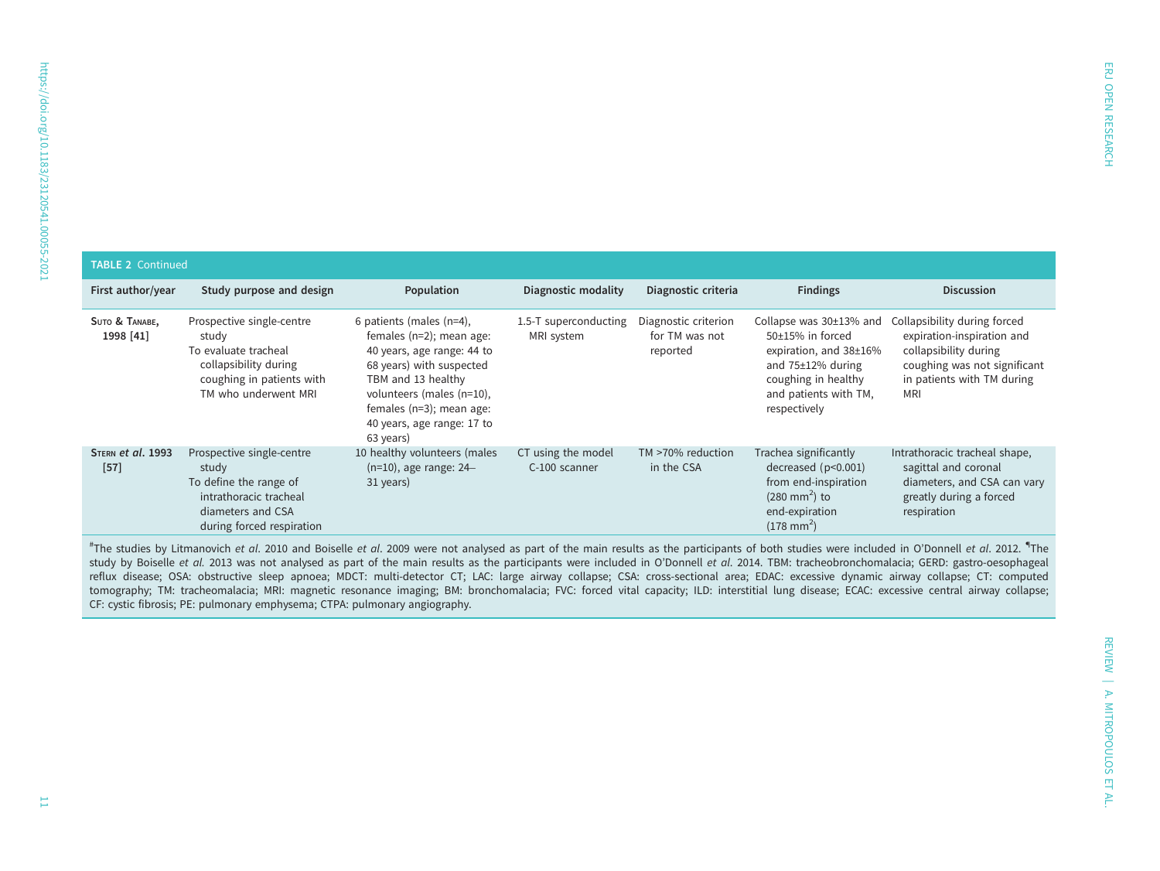| <b>TABLE 2 Continued</b>    |                                                                                                                                          |                                                                                                                                                                                                                                          |                                     |                                                    |                                                                                                                                                                 |                                                                                                                                                                 |  |
|-----------------------------|------------------------------------------------------------------------------------------------------------------------------------------|------------------------------------------------------------------------------------------------------------------------------------------------------------------------------------------------------------------------------------------|-------------------------------------|----------------------------------------------------|-----------------------------------------------------------------------------------------------------------------------------------------------------------------|-----------------------------------------------------------------------------------------------------------------------------------------------------------------|--|
| First author/year           | Study purpose and design                                                                                                                 | Population                                                                                                                                                                                                                               | Diagnostic modality                 | Diagnostic criteria                                | <b>Findings</b>                                                                                                                                                 | <b>Discussion</b>                                                                                                                                               |  |
| SUTO & TANABE,<br>1998 [41] | Prospective single-centre<br>study<br>To evaluate tracheal<br>collapsibility during<br>coughing in patients with<br>TM who underwent MRI | 6 patients (males (n=4),<br>females (n=2); mean age:<br>40 years, age range: 44 to<br>68 years) with suspected<br>TBM and 13 healthy<br>volunteers (males (n=10),<br>females (n=3); mean age:<br>40 years, age range: 17 to<br>63 years) | 1.5-T superconducting<br>MRI system | Diagnostic criterion<br>for TM was not<br>reported | Collapse was 30±13% and<br>50±15% in forced<br>expiration, and 38±16%<br>and $75\pm12\%$ during<br>coughing in healthy<br>and patients with TM,<br>respectively | Collapsibility during forced<br>expiration-inspiration and<br>collapsibility during<br>coughing was not significant<br>in patients with TM during<br><b>MRI</b> |  |
| STERN et al. 1993<br>$[57]$ | Prospective single-centre<br>study<br>To define the range of<br>intrathoracic tracheal<br>diameters and CSA<br>during forced respiration | 10 healthy volunteers (males<br>$(n=10)$ , age range: 24–<br>31 years)                                                                                                                                                                   | CT using the model<br>C-100 scanner | TM >70% reduction<br>in the CSA                    | Trachea significantly<br>decreased $(p<0.001)$<br>from end-inspiration<br>$(280 \text{ mm}^2)$ to<br>end-expiration<br>$(178 \text{ mm}^2)$                     | Intrathoracic tracheal shape,<br>sagittal and coronal<br>diameters, and CSA can vary<br>greatly during a forced<br>respiration                                  |  |

<sup>#</sup>The studies by Litmanovich et al. 2010 and Boiselle et al. 2009 were not analysed as part of the main results as the participants of both studies were included in O'Donnell et al. 2012. <sup>¶</sup>The study by Boiselle et al. 2013 was not analysed as part of the main results as the participants were included in O'Donnell et al. 2014. TBM: tracheobronchomalacia; GERD: gastro-oesophageal reflux disease; OSA: obstructive sleep apnoea; MDCT: multi-detector CT; LAC: large airway collapse; CSA: cross-sectional area; EDAC: excessive dynamic airway collapse; CT: computed tomography; TM: tracheomalacia; MRI: magnetic resonance imaging; BM: bronchomalacia; FVC: forced vital capacity; ILD: interstitial lung disease; ECAC: excessive central airway collapse; CF: cystic fibrosis; PE: pulmonary emphysema; CTPA: pulmonary angiography.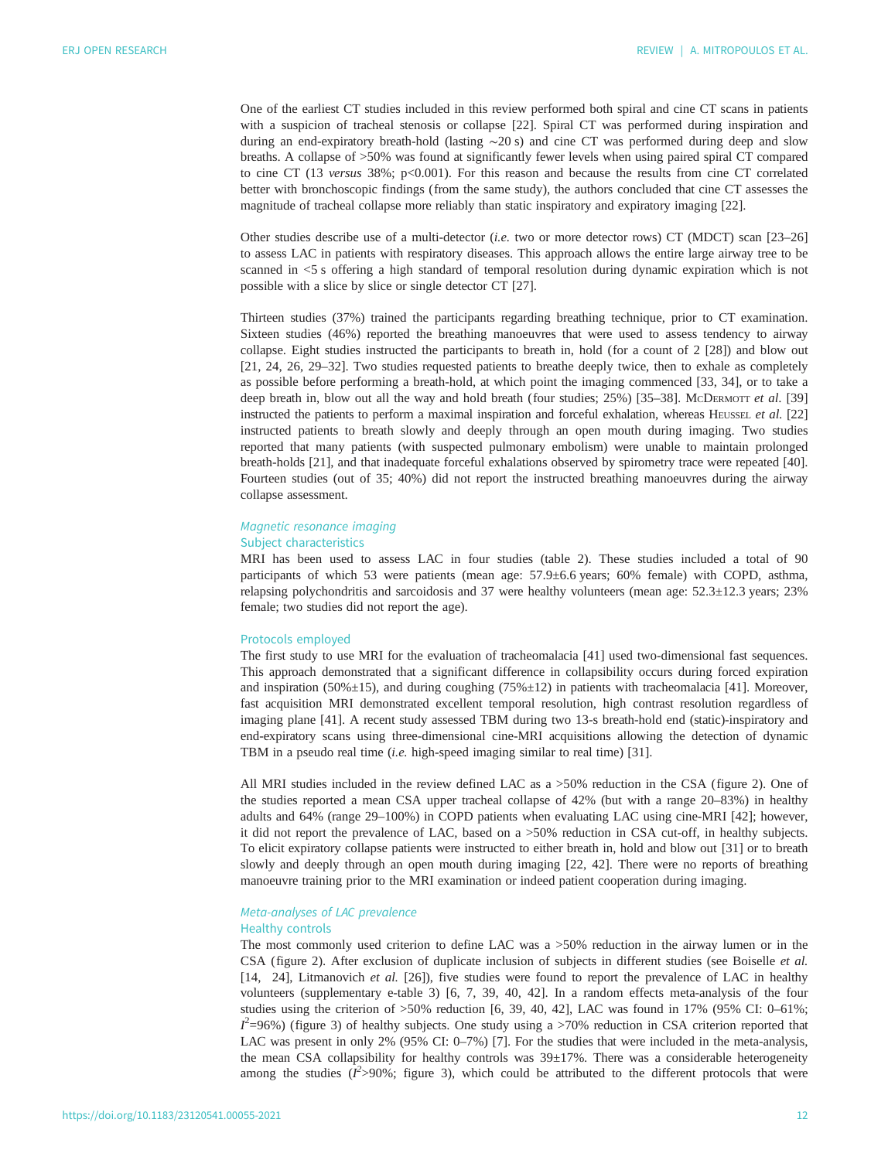One of the earliest CT studies included in this review performed both spiral and cine CT scans in patients with a suspicion of tracheal stenosis or collapse [\[22](#page-15-0)]. Spiral CT was performed during inspiration and during an end-expiratory breath-hold (lasting ∼20 s) and cine CT was performed during deep and slow breaths. A collapse of >50% was found at significantly fewer levels when using paired spiral CT compared to cine CT (13 versus 38%; p<0.001). For this reason and because the results from cine CT correlated better with bronchoscopic findings (from the same study), the authors concluded that cine CT assesses the magnitude of tracheal collapse more reliably than static inspiratory and expiratory imaging [\[22](#page-15-0)].

Other studies describe use of a multi-detector (i.e. two or more detector rows) CT (MDCT) scan [\[23](#page-15-0)–[26\]](#page-16-0) to assess LAC in patients with respiratory diseases. This approach allows the entire large airway tree to be scanned in <5 s offering a high standard of temporal resolution during dynamic expiration which is not possible with a slice by slice or single detector CT [\[27](#page-16-0)].

Thirteen studies (37%) trained the participants regarding breathing technique, prior to CT examination. Sixteen studies (46%) reported the breathing manoeuvres that were used to assess tendency to airway collapse. Eight studies instructed the participants to breath in, hold (for a count of 2 [\[28](#page-16-0)]) and blow out [\[21](#page-15-0), [24, 26](#page-16-0), [29](#page-16-0)–[32](#page-16-0)]. Two studies requested patients to breathe deeply twice, then to exhale as completely as possible before performing a breath-hold, at which point the imaging commenced [\[33](#page-16-0), [34\]](#page-16-0), or to take a deep breath in, blow out all the way and hold breath (four studies; 25%) [\[35](#page-16-0)–[38\]](#page-16-0). McDERMOTT et al. [[39\]](#page-16-0) instructed the patients to perform a maximal inspiration and forceful exhalation, whereas HEUSSEL et al. [\[22\]](#page-15-0) instructed patients to breath slowly and deeply through an open mouth during imaging. Two studies reported that many patients (with suspected pulmonary embolism) were unable to maintain prolonged breath-holds [\[21](#page-15-0)], and that inadequate forceful exhalations observed by spirometry trace were repeated [[40\]](#page-16-0). Fourteen studies (out of 35; 40%) did not report the instructed breathing manoeuvres during the airway collapse assessment.

# Magnetic resonance imaging

# Subject characteristics

MRI has been used to assess LAC in four studies ([table 2\)](#page-5-0). These studies included a total of 90 participants of which 53 were patients (mean age: 57.9±6.6 years; 60% female) with COPD, asthma, relapsing polychondritis and sarcoidosis and 37 were healthy volunteers (mean age: 52.3±12.3 years; 23% female; two studies did not report the age).

#### Protocols employed

The first study to use MRI for the evaluation of tracheomalacia [[41\]](#page-16-0) used two-dimensional fast sequences. This approach demonstrated that a significant difference in collapsibility occurs during forced expiration and inspiration (50% $\pm$ 15), and during coughing (75% $\pm$ 12) in patients with tracheomalacia [[41\]](#page-16-0). Moreover, fast acquisition MRI demonstrated excellent temporal resolution, high contrast resolution regardless of imaging plane [\[41](#page-16-0)]. A recent study assessed TBM during two 13-s breath-hold end (static)-inspiratory and end-expiratory scans using three-dimensional cine-MRI acquisitions allowing the detection of dynamic TBM in a pseudo real time (i.e. high-speed imaging similar to real time) [\[31](#page-16-0)].

All MRI studies included in the review defined LAC as a >50% reduction in the CSA [\(figure 2\)](#page-4-0). One of the studies reported a mean CSA upper tracheal collapse of 42% (but with a range 20–83%) in healthy adults and 64% (range 29–100%) in COPD patients when evaluating LAC using cine-MRI [[42\]](#page-16-0); however, it did not report the prevalence of LAC, based on a >50% reduction in CSA cut-off, in healthy subjects. To elicit expiratory collapse patients were instructed to either breath in, hold and blow out [[31](#page-16-0)] or to breath slowly and deeply through an open mouth during imaging [[22,](#page-15-0) [42\]](#page-16-0). There were no reports of breathing manoeuvre training prior to the MRI examination or indeed patient cooperation during imaging.

# Meta-analyses of LAC prevalence

# Healthy controls

The most commonly used criterion to define LAC was a >50% reduction in the airway lumen or in the CSA [\(figure 2\)](#page-4-0). After exclusion of duplicate inclusion of subjects in different studies (see Boiselle et al. [\[14](#page-15-0), [24](#page-16-0)], Litmanovich et al. [\[26](#page-16-0)]), five studies were found to report the prevalence of LAC in healthy volunteers (supplementary [e-table 3\)](http://openres.ersjournals.com/lookup/doi/10.1183/23120541.00055-2021.figures-only#fig-data-supplementary-materials) [[6](#page-15-0), [7](#page-15-0), [39, 40](#page-16-0), [42\]](#page-16-0). In a random effects meta-analysis of the four studies using the criterion of  $>50\%$  reduction [\[6,](#page-15-0) [39](#page-16-0), [40](#page-16-0), [42\]](#page-16-0), LAC was found in 17% (95% CI: 0–61%; LAC was present in only 2% (95% CI: 0–[7](#page-15-0)%) [7]. For the studies that were included in the meta-analysis,  $2$ =96%) [\(figure 3\)](#page-12-0) of healthy subjects. One study using a >70% reduction in CSA criterion reported that the mean CSA collapsibility for healthy controls was 39±17%. There was a considerable heterogeneity among the studies ( $I^2 > 90\%$ ; [figure 3](#page-12-0)), which could be attributed to the different protocols that were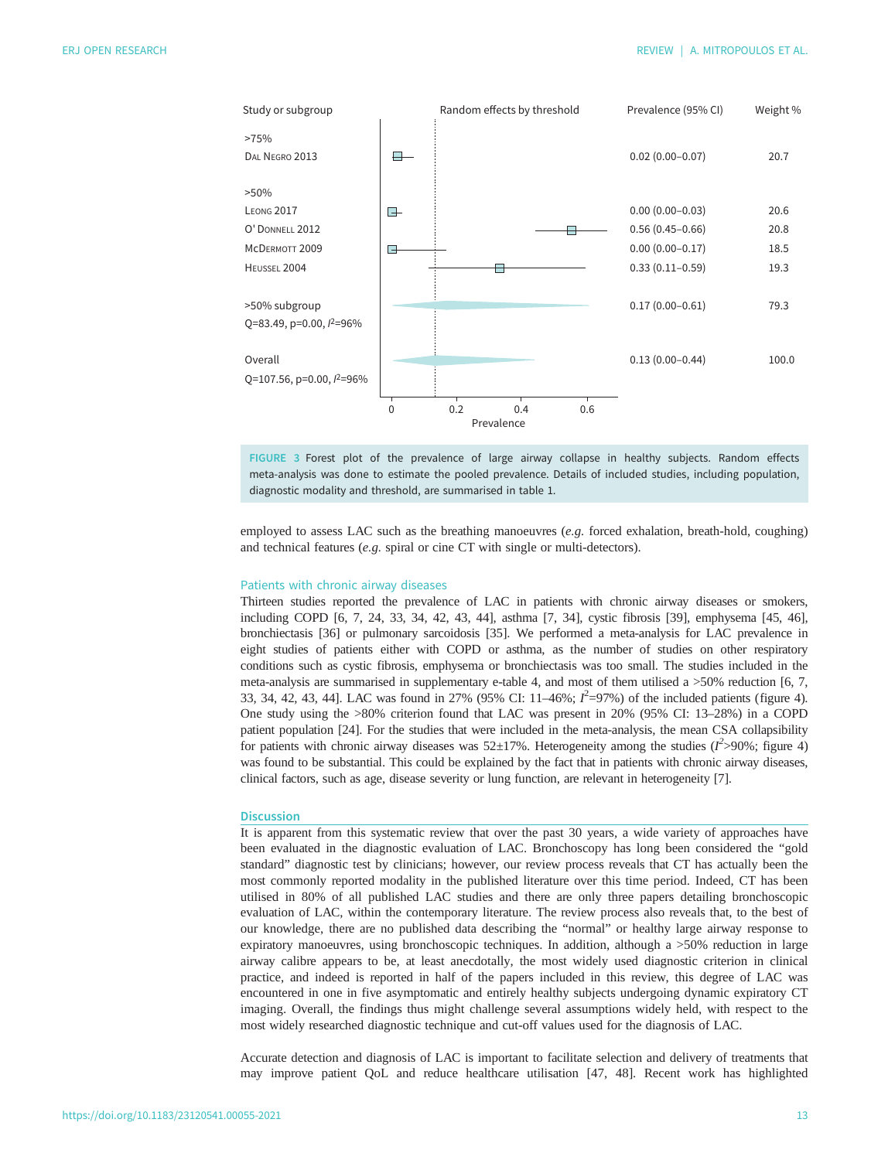<span id="page-12-0"></span>

FIGURE 3 Forest plot of the prevalence of large airway collapse in healthy subjects. Random effects meta-analysis was done to estimate the pooled prevalence. Details of included studies, including population, diagnostic modality and threshold, are summarised in [table 1](#page-3-0).

employed to assess LAC such as the breathing manoeuvres (e.g. forced exhalation, breath-hold, coughing) and technical features (e.g. spiral or cine CT with single or multi-detectors).

#### Patients with chronic airway diseases

Thirteen studies reported the prevalence of LAC in patients with chronic airway diseases or smokers, including COPD [\[6, 7,](#page-15-0) [24, 33, 34](#page-16-0), [42](#page-16-0), [43, 44\]](#page-16-0), asthma [\[7,](#page-15-0) [34\]](#page-16-0), cystic fibrosis [\[39](#page-16-0)], emphysema [\[45, 46\]](#page-16-0), bronchiectasis [[36\]](#page-16-0) or pulmonary sarcoidosis [\[35](#page-16-0)]. We performed a meta-analysis for LAC prevalence in eight studies of patients either with COPD or asthma, as the number of studies on other respiratory conditions such as cystic fibrosis, emphysema or bronchiectasis was too small. The studies included in the meta-analysis are summarised in supplementary [e-table 4,](http://openres.ersjournals.com/lookup/doi/10.1183/23120541.00055-2021.figures-only#fig-data-supplementary-materials) and most of them utilised a >50% reduction [[6, 7](#page-15-0), [33](#page-16-0), [34](#page-16-0), [42](#page-16-0), [43](#page-16-0), [44](#page-16-0)]. LAC was found in 27% (95% CI: 11–46%;  $I^2$ =97%) of the included patients [\(figure 4\)](#page-13-0).<br>One study using the >80% criterion found that LAC was present in 20% (95% CI: 13–28%) in a COPD One study using the >80% criterion found that LAC was present in 20% (95% CI: 13–28%) in a COPD patient population [\[24\]](#page-16-0). For the studies that were included in the meta-analysis, the mean CSA collapsibility for patients with chronic airway diseases was 52±17%. Heterogeneity among the studies ( $I^{\leq}$ >90%; [figure 4\)](#page-13-0)<br>was found to be substantial. This could be explained by the fact that in patients with chronic airway diseases was found to be substantial. This could be explained by the fact that in patients with chronic airway diseases, clinical factors, such as age, disease severity or lung function, are relevant in heterogeneity [\[7\]](#page-15-0).

#### **Discussion**

It is apparent from this systematic review that over the past 30 years, a wide variety of approaches have been evaluated in the diagnostic evaluation of LAC. Bronchoscopy has long been considered the "gold standard" diagnostic test by clinicians; however, our review process reveals that CT has actually been the most commonly reported modality in the published literature over this time period. Indeed, CT has been utilised in 80% of all published LAC studies and there are only three papers detailing bronchoscopic evaluation of LAC, within the contemporary literature. The review process also reveals that, to the best of our knowledge, there are no published data describing the "normal" or healthy large airway response to expiratory manoeuvres, using bronchoscopic techniques. In addition, although a >50% reduction in large airway calibre appears to be, at least anecdotally, the most widely used diagnostic criterion in clinical practice, and indeed is reported in half of the papers included in this review, this degree of LAC was encountered in one in five asymptomatic and entirely healthy subjects undergoing dynamic expiratory CT imaging. Overall, the findings thus might challenge several assumptions widely held, with respect to the most widely researched diagnostic technique and cut-off values used for the diagnosis of LAC.

Accurate detection and diagnosis of LAC is important to facilitate selection and delivery of treatments that may improve patient QoL and reduce healthcare utilisation [\[47](#page-16-0), [48](#page-16-0)]. Recent work has highlighted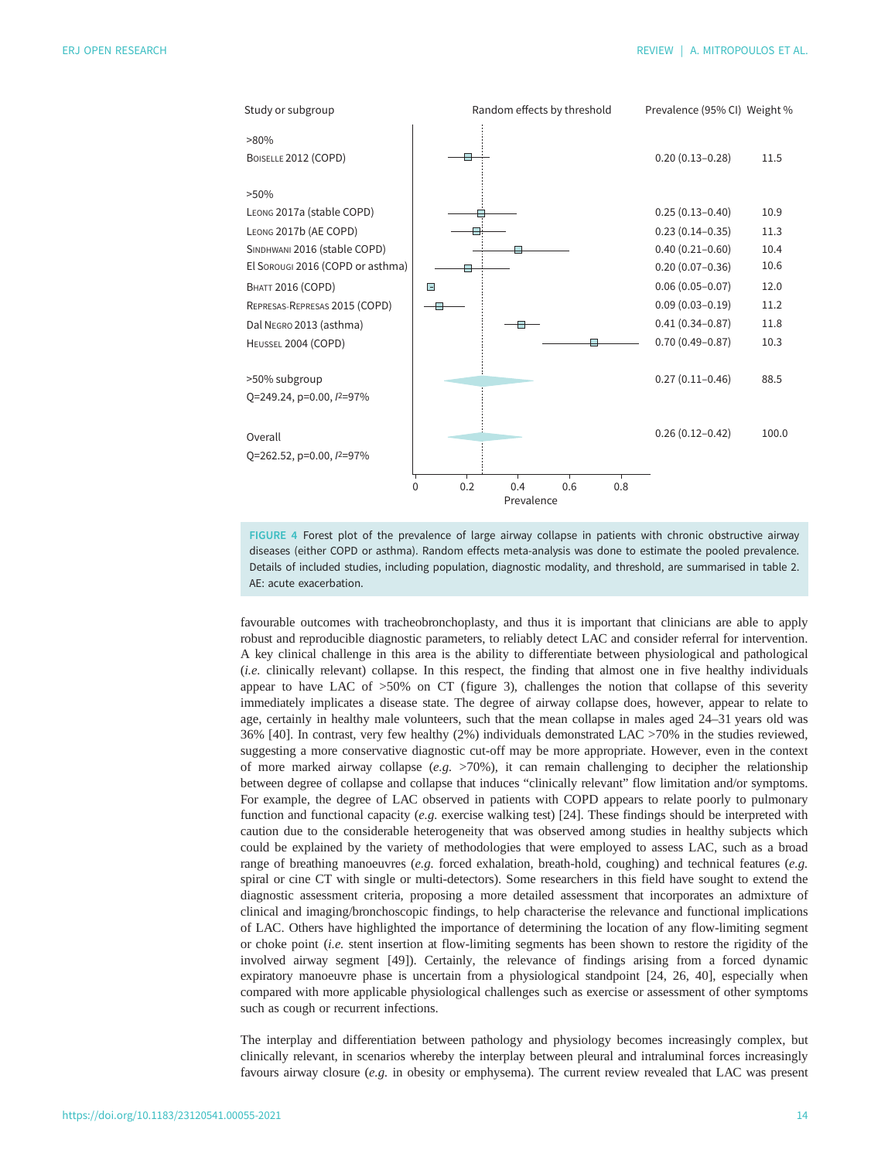<span id="page-13-0"></span>

FIGURE 4 Forest plot of the prevalence of large airway collapse in patients with chronic obstructive airway diseases (either COPD or asthma). Random effects meta-analysis was done to estimate the pooled prevalence. Details of included studies, including population, diagnostic modality, and threshold, are summarised in [table 2.](#page-5-0) AE: acute exacerbation.

favourable outcomes with tracheobronchoplasty, and thus it is important that clinicians are able to apply robust and reproducible diagnostic parameters, to reliably detect LAC and consider referral for intervention. A key clinical challenge in this area is the ability to differentiate between physiological and pathological (i.e. clinically relevant) collapse. In this respect, the finding that almost one in five healthy individuals appear to have LAC of  $>50\%$  on CT [\(figure 3\)](#page-12-0), challenges the notion that collapse of this severity immediately implicates a disease state. The degree of airway collapse does, however, appear to relate to age, certainly in healthy male volunteers, such that the mean collapse in males aged 24–31 years old was 36% [[40\]](#page-16-0). In contrast, very few healthy (2%) individuals demonstrated LAC >70% in the studies reviewed, suggesting a more conservative diagnostic cut-off may be more appropriate. However, even in the context of more marked airway collapse (e.g.  $>70\%$ ), it can remain challenging to decipher the relationship between degree of collapse and collapse that induces "clinically relevant" flow limitation and/or symptoms. For example, the degree of LAC observed in patients with COPD appears to relate poorly to pulmonary function and functional capacity (e.g. exercise walking test) [\[24](#page-16-0)]. These findings should be interpreted with caution due to the considerable heterogeneity that was observed among studies in healthy subjects which could be explained by the variety of methodologies that were employed to assess LAC, such as a broad range of breathing manoeuvres (e.g. forced exhalation, breath-hold, coughing) and technical features (e.g. spiral or cine CT with single or multi-detectors). Some researchers in this field have sought to extend the diagnostic assessment criteria, proposing a more detailed assessment that incorporates an admixture of clinical and imaging/bronchoscopic findings, to help characterise the relevance and functional implications of LAC. Others have highlighted the importance of determining the location of any flow-limiting segment or choke point (i.e. stent insertion at flow-limiting segments has been shown to restore the rigidity of the involved airway segment [\[49](#page-16-0)]). Certainly, the relevance of findings arising from a forced dynamic expiratory manoeuvre phase is uncertain from a physiological standpoint [[24, 26](#page-16-0), [40\]](#page-16-0), especially when compared with more applicable physiological challenges such as exercise or assessment of other symptoms such as cough or recurrent infections.

The interplay and differentiation between pathology and physiology becomes increasingly complex, but clinically relevant, in scenarios whereby the interplay between pleural and intraluminal forces increasingly favours airway closure (e.g. in obesity or emphysema). The current review revealed that LAC was present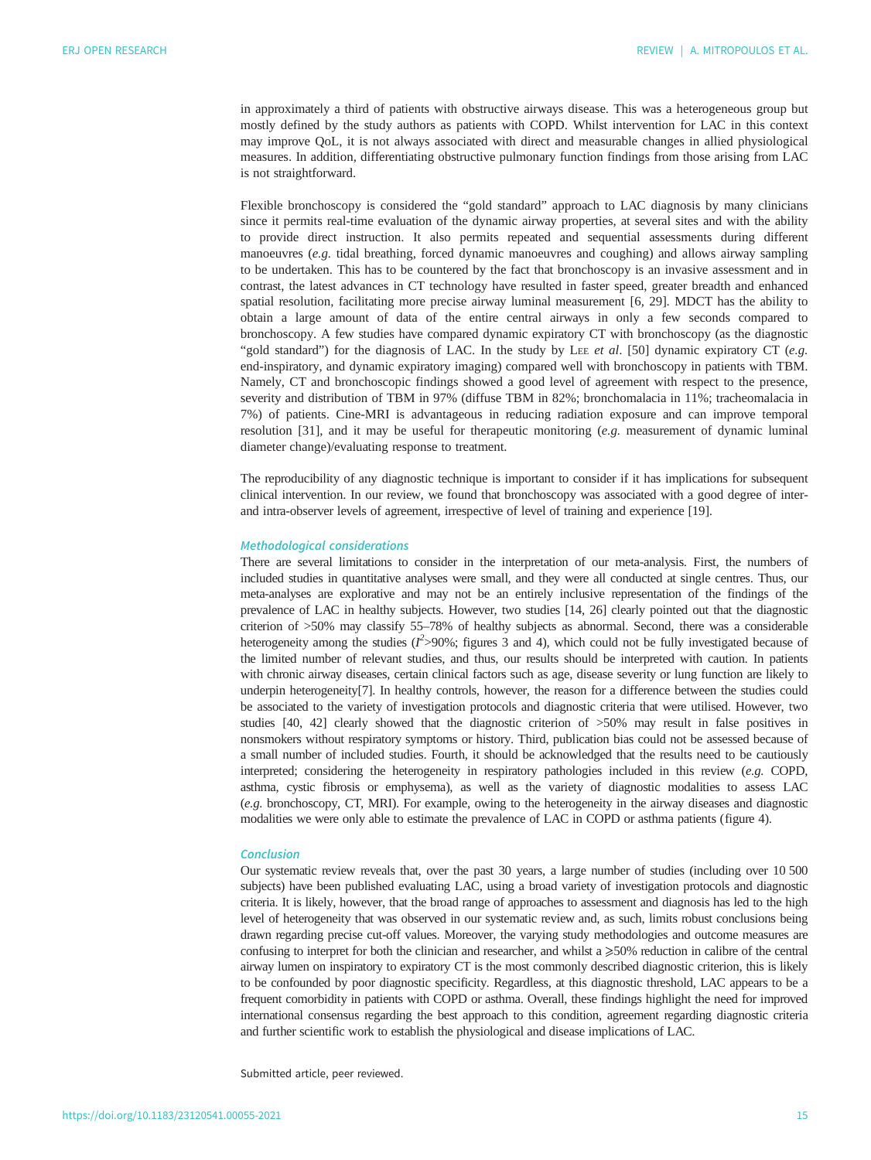in approximately a third of patients with obstructive airways disease. This was a heterogeneous group but mostly defined by the study authors as patients with COPD. Whilst intervention for LAC in this context may improve QoL, it is not always associated with direct and measurable changes in allied physiological measures. In addition, differentiating obstructive pulmonary function findings from those arising from LAC is not straightforward.

Flexible bronchoscopy is considered the "gold standard" approach to LAC diagnosis by many clinicians since it permits real-time evaluation of the dynamic airway properties, at several sites and with the ability to provide direct instruction. It also permits repeated and sequential assessments during different manoeuvres (e.g. tidal breathing, forced dynamic manoeuvres and coughing) and allows airway sampling to be undertaken. This has to be countered by the fact that bronchoscopy is an invasive assessment and in contrast, the latest advances in CT technology have resulted in faster speed, greater breadth and enhanced spatial resolution, facilitating more precise airway luminal measurement [[6,](#page-15-0) [29](#page-16-0)]. MDCT has the ability to obtain a large amount of data of the entire central airways in only a few seconds compared to bronchoscopy. A few studies have compared dynamic expiratory CT with bronchoscopy (as the diagnostic "gold standard") for the diagnosis of LAC. In the study by LEE et al. [\[50](#page-16-0)] dynamic expiratory CT (e.g. end-inspiratory, and dynamic expiratory imaging) compared well with bronchoscopy in patients with TBM. Namely, CT and bronchoscopic findings showed a good level of agreement with respect to the presence, severity and distribution of TBM in 97% (diffuse TBM in 82%; bronchomalacia in 11%; tracheomalacia in 7%) of patients. Cine-MRI is advantageous in reducing radiation exposure and can improve temporal resolution  $[31]$  $[31]$ , and it may be useful for therapeutic monitoring (e.g. measurement of dynamic luminal diameter change)/evaluating response to treatment.

The reproducibility of any diagnostic technique is important to consider if it has implications for subsequent clinical intervention. In our review, we found that bronchoscopy was associated with a good degree of interand intra-observer levels of agreement, irrespective of level of training and experience [[19](#page-15-0)].

#### Methodological considerations

There are several limitations to consider in the interpretation of our meta-analysis. First, the numbers of included studies in quantitative analyses were small, and they were all conducted at single centres. Thus, our meta-analyses are explorative and may not be an entirely inclusive representation of the findings of the prevalence of LAC in healthy subjects. However, two studies [\[14,](#page-15-0) [26](#page-16-0)] clearly pointed out that the diagnostic criterion of >50% may classify 55–78% of healthy subjects as abnormal. Second, there was a considerable heterogeneity among the studies (I<sup>2</sup>>90%; [figures 3](#page-12-0) and [4](#page-13-0)), which could not be fully investigated because of<br>the limited number of relevant studies, and thus, our results should be interpreted with caution. In patients the limited number of relevant studies, and thus, our results should be interpreted with caution. In patients with chronic airway diseases, certain clinical factors such as age, disease severity or lung function are likely to underpin heterogeneity[7]. In healthy controls, however, the reason for a difference between the studies could be associated to the variety of investigation protocols and diagnostic criteria that were utilised. However, two studies [\[40, 42\]](#page-16-0) clearly showed that the diagnostic criterion of >50% may result in false positives in nonsmokers without respiratory symptoms or history. Third, publication bias could not be assessed because of a small number of included studies. Fourth, it should be acknowledged that the results need to be cautiously interpreted; considering the heterogeneity in respiratory pathologies included in this review (e.g. COPD, asthma, cystic fibrosis or emphysema), as well as the variety of diagnostic modalities to assess LAC (e.g. bronchoscopy, CT, MRI). For example, owing to the heterogeneity in the airway diseases and diagnostic modalities we were only able to estimate the prevalence of LAC in COPD or asthma patients [\(figure 4](#page-13-0)).

#### Conclusion

Our systematic review reveals that, over the past 30 years, a large number of studies (including over 10 500 subjects) have been published evaluating LAC, using a broad variety of investigation protocols and diagnostic criteria. It is likely, however, that the broad range of approaches to assessment and diagnosis has led to the high level of heterogeneity that was observed in our systematic review and, as such, limits robust conclusions being drawn regarding precise cut-off values. Moreover, the varying study methodologies and outcome measures are confusing to interpret for both the clinician and researcher, and whilst a  $\geqslant$ 50% reduction in calibre of the central airway lumen on inspiratory to expiratory CT is the most commonly described diagnostic criterion, this is likely to be confounded by poor diagnostic specificity. Regardless, at this diagnostic threshold, LAC appears to be a frequent comorbidity in patients with COPD or asthma. Overall, these findings highlight the need for improved international consensus regarding the best approach to this condition, agreement regarding diagnostic criteria and further scientific work to establish the physiological and disease implications of LAC.

Submitted article, peer reviewed.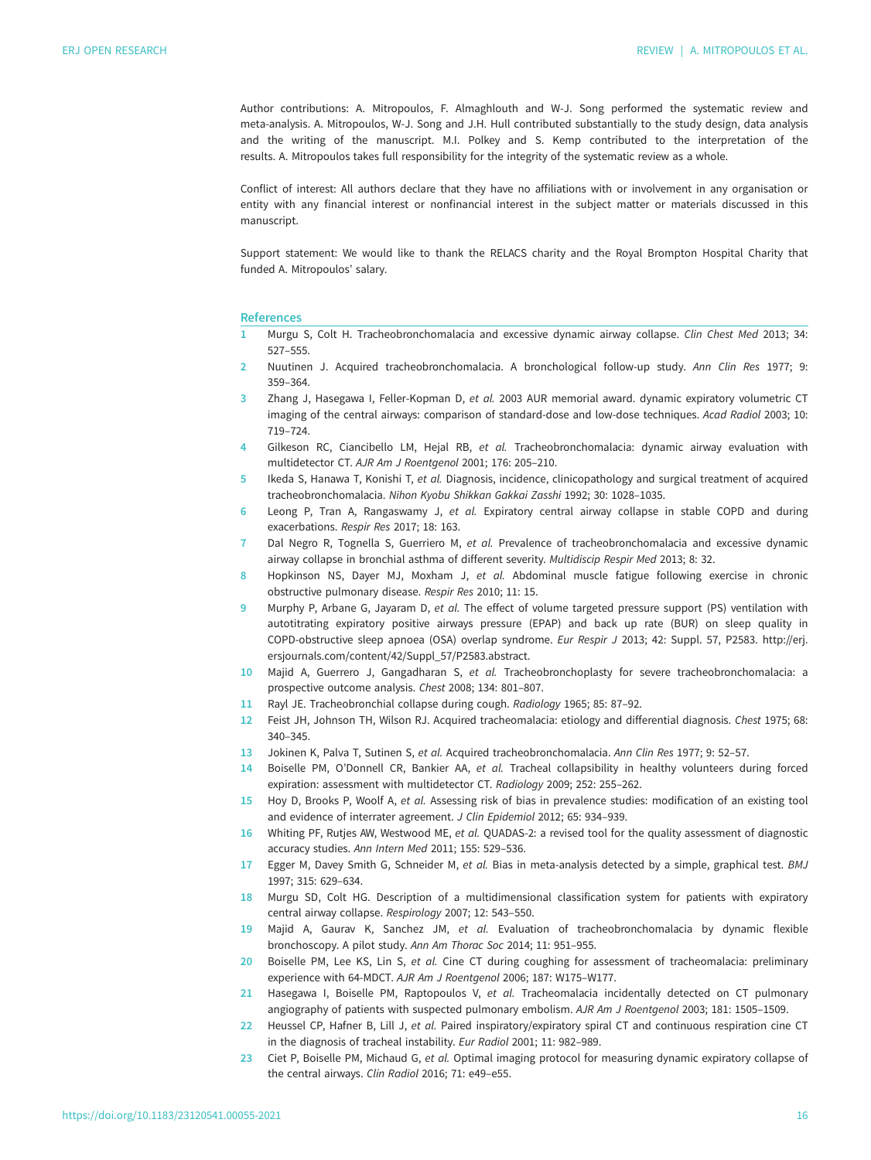<span id="page-15-0"></span>Author contributions: A. Mitropoulos, F. Almaghlouth and W-J. Song performed the systematic review and meta-analysis. A. Mitropoulos, W-J. Song and J.H. Hull contributed substantially to the study design, data analysis and the writing of the manuscript. M.I. Polkey and S. Kemp contributed to the interpretation of the results. A. Mitropoulos takes full responsibility for the integrity of the systematic review as a whole.

Conflict of interest: All authors declare that they have no affiliations with or involvement in any organisation or entity with any financial interest or nonfinancial interest in the subject matter or materials discussed in this manuscript.

Support statement: We would like to thank the RELACS charity and the Royal Brompton Hospital Charity that funded A. Mitropoulos' salary.

#### References

- 1 Murgu S, Colt H. Tracheobronchomalacia and excessive dynamic airway collapse. Clin Chest Med 2013; 34: 527–555.
- 2 Nuutinen J. Acquired tracheobronchomalacia. A bronchological follow-up study. Ann Clin Res 1977; 9: 359–364.
- 3 Zhang J, Hasegawa I, Feller-Kopman D, et al. 2003 AUR memorial award. dynamic expiratory volumetric CT imaging of the central airways: comparison of standard-dose and low-dose techniques. Acad Radiol 2003; 10: 719–724.
- 4 Gilkeson RC, Ciancibello LM, Hejal RB, et al. Tracheobronchomalacia: dynamic airway evaluation with multidetector CT. AJR Am J Roentgenol 2001; 176: 205–210.
- 5 Ikeda S, Hanawa T, Konishi T, et al. Diagnosis, incidence, clinicopathology and surgical treatment of acquired tracheobronchomalacia. Nihon Kyobu Shikkan Gakkai Zasshi 1992; 30: 1028–1035.
- 6 Leong P, Tran A, Rangaswamy J, et al. Expiratory central airway collapse in stable COPD and during exacerbations. Respir Res 2017; 18: 163.
- 7 Dal Negro R, Tognella S, Guerriero M, et al. Prevalence of tracheobronchomalacia and excessive dynamic airway collapse in bronchial asthma of different severity. Multidiscip Respir Med 2013; 8: 32.
- 8 Hopkinson NS, Dayer MJ, Moxham J, et al. Abdominal muscle fatigue following exercise in chronic obstructive pulmonary disease. Respir Res 2010; 11: 15.
- 9 Murphy P, Arbane G, Jayaram D, et al. The effect of volume targeted pressure support (PS) ventilation with autotitrating expiratory positive airways pressure (EPAP) and back up rate (BUR) on sleep quality in COPD-obstructive sleep apnoea (OSA) overlap syndrome. Eur Respir J 2013; 42: Suppl. 57, P2583. [http://erj.](http://erj.ersjournals.com/content/42/Suppl_57/P2583.abstract) [ersjournals.com/content/42/Suppl\\_57/P2583.abstract.](http://erj.ersjournals.com/content/42/Suppl_57/P2583.abstract)
- 10 Majid A, Guerrero J, Gangadharan S, et al. Tracheobronchoplasty for severe tracheobronchomalacia: a prospective outcome analysis. Chest 2008; 134: 801–807.
- 11 Rayl JE. Tracheobronchial collapse during cough. Radiology 1965; 85: 87–92.
- 12 Feist JH, Johnson TH, Wilson RJ. Acquired tracheomalacia: etiology and differential diagnosis. Chest 1975; 68: 340–345.
- 13 Jokinen K, Palva T, Sutinen S, et al. Acquired tracheobronchomalacia. Ann Clin Res 1977; 9: 52–57.
- 14 Boiselle PM, O'Donnell CR, Bankier AA, et al. Tracheal collapsibility in healthy volunteers during forced expiration: assessment with multidetector CT. Radiology 2009; 252: 255–262.
- 15 Hoy D, Brooks P, Woolf A, et al. Assessing risk of bias in prevalence studies: modification of an existing tool and evidence of interrater agreement. J Clin Epidemiol 2012; 65: 934–939.
- 16 Whiting PF, Rutjes AW, Westwood ME, et al. QUADAS-2: a revised tool for the quality assessment of diagnostic accuracy studies. Ann Intern Med 2011; 155: 529–536.
- 17 Egger M, Davey Smith G, Schneider M, et al. Bias in meta-analysis detected by a simple, graphical test. BMJ 1997; 315: 629–634.
- 18 Murgu SD, Colt HG. Description of a multidimensional classification system for patients with expiratory central airway collapse. Respirology 2007; 12: 543–550.
- 19 Majid A, Gaurav K, Sanchez JM, et al. Evaluation of tracheobronchomalacia by dynamic flexible bronchoscopy. A pilot study. Ann Am Thorac Soc 2014; 11: 951–955.
- 20 Boiselle PM, Lee KS, Lin S, et al. Cine CT during coughing for assessment of tracheomalacia: preliminary experience with 64-MDCT. AJR Am J Roentgenol 2006; 187: W175–W177.
- 21 Hasegawa I, Boiselle PM, Raptopoulos V, et al. Tracheomalacia incidentally detected on CT pulmonary angiography of patients with suspected pulmonary embolism. AJR Am J Roentgenol 2003; 181: 1505–1509.
- 22 Heussel CP, Hafner B, Lill J, et al. Paired inspiratory/expiratory spiral CT and continuous respiration cine CT in the diagnosis of tracheal instability. Eur Radiol 2001; 11: 982–989.
- 23 Ciet P, Boiselle PM, Michaud G, et al. Optimal imaging protocol for measuring dynamic expiratory collapse of the central airways. Clin Radiol 2016; 71: e49–e55.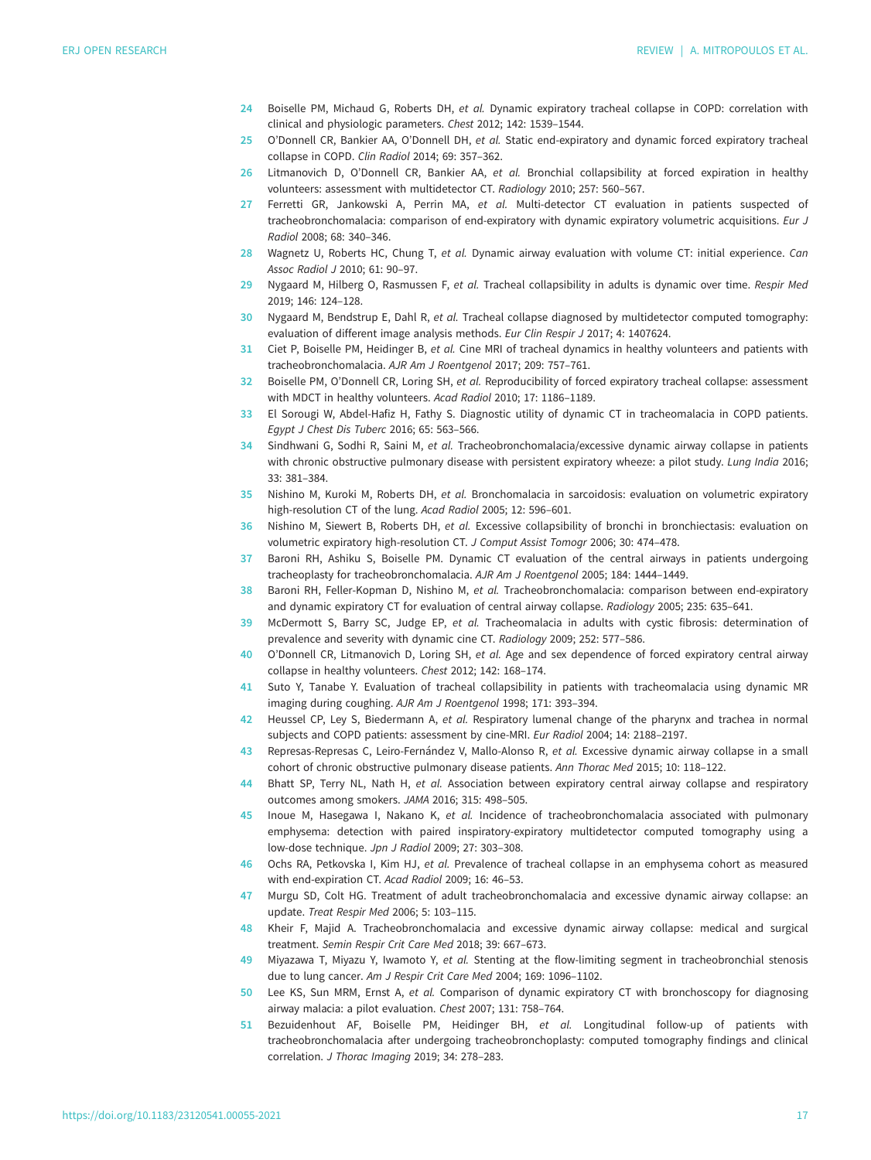- <span id="page-16-0"></span>24 Boiselle PM, Michaud G, Roberts DH, et al. Dynamic expiratory tracheal collapse in COPD: correlation with clinical and physiologic parameters. Chest 2012; 142: 1539–1544.
- 25 O'Donnell CR, Bankier AA, O'Donnell DH, et al. Static end-expiratory and dynamic forced expiratory tracheal collapse in COPD. Clin Radiol 2014; 69: 357–362.
- 26 Litmanovich D, O'Donnell CR, Bankier AA, et al. Bronchial collapsibility at forced expiration in healthy volunteers: assessment with multidetector CT. Radiology 2010; 257: 560–567.
- 27 Ferretti GR, Jankowski A, Perrin MA, et al. Multi-detector CT evaluation in patients suspected of tracheobronchomalacia: comparison of end-expiratory with dynamic expiratory volumetric acquisitions. Eur J Radiol 2008; 68: 340–346.
- 28 Wagnetz U, Roberts HC, Chung T, et al. Dynamic airway evaluation with volume CT: initial experience. Can Assoc Radiol J 2010; 61: 90–97.
- 29 Nygaard M, Hilberg O, Rasmussen F, et al. Tracheal collapsibility in adults is dynamic over time. Respir Med 2019; 146: 124–128.
- 30 Nygaard M, Bendstrup E, Dahl R, et al. Tracheal collapse diagnosed by multidetector computed tomography: evaluation of different image analysis methods. Eur Clin Respir J 2017; 4: 1407624.
- 31 Ciet P, Boiselle PM, Heidinger B, et al. Cine MRI of tracheal dynamics in healthy volunteers and patients with tracheobronchomalacia. AJR Am J Roentgenol 2017; 209: 757–761.
- 32 Boiselle PM, O'Donnell CR, Loring SH, et al. Reproducibility of forced expiratory tracheal collapse: assessment with MDCT in healthy volunteers. Acad Radiol 2010; 17: 1186–1189.
- 33 El Sorougi W, Abdel-Hafiz H, Fathy S. Diagnostic utility of dynamic CT in tracheomalacia in COPD patients. Egypt J Chest Dis Tuberc 2016; 65: 563–566.
- 34 Sindhwani G, Sodhi R, Saini M, et al. Tracheobronchomalacia/excessive dynamic airway collapse in patients with chronic obstructive pulmonary disease with persistent expiratory wheeze: a pilot study. Lung India 2016; 33: 381–384.
- 35 Nishino M, Kuroki M, Roberts DH, et al. Bronchomalacia in sarcoidosis: evaluation on volumetric expiratory high-resolution CT of the lung. Acad Radiol 2005; 12: 596–601.
- 36 Nishino M, Siewert B, Roberts DH, et al. Excessive collapsibility of bronchi in bronchiectasis: evaluation on volumetric expiratory high-resolution CT. J Comput Assist Tomogr 2006; 30: 474–478.
- 37 Baroni RH, Ashiku S, Boiselle PM. Dynamic CT evaluation of the central airways in patients undergoing tracheoplasty for tracheobronchomalacia. AJR Am J Roentgenol 2005; 184: 1444–1449.
- 38 Baroni RH, Feller-Kopman D, Nishino M, et al. Tracheobronchomalacia: comparison between end-expiratory and dynamic expiratory CT for evaluation of central airway collapse. Radiology 2005; 235: 635–641.
- 39 McDermott S, Barry SC, Judge EP, et al. Tracheomalacia in adults with cystic fibrosis: determination of prevalence and severity with dynamic cine CT. Radiology 2009; 252: 577–586.
- 40 O'Donnell CR, Litmanovich D, Loring SH, et al. Age and sex dependence of forced expiratory central airway collapse in healthy volunteers. Chest 2012; 142: 168–174.
- 41 Suto Y, Tanabe Y. Evaluation of tracheal collapsibility in patients with tracheomalacia using dynamic MR imaging during coughing. AJR Am J Roentgenol 1998; 171: 393–394.
- 42 Heussel CP, Ley S, Biedermann A, et al. Respiratory lumenal change of the pharynx and trachea in normal subjects and COPD patients: assessment by cine-MRI. Eur Radiol 2004; 14: 2188–2197.
- 43 Represas-Represas C, Leiro-Fernández V, Mallo-Alonso R, et al. Excessive dynamic airway collapse in a small cohort of chronic obstructive pulmonary disease patients. Ann Thorac Med 2015; 10: 118–122.
- 44 Bhatt SP, Terry NL, Nath H, et al. Association between expiratory central airway collapse and respiratory outcomes among smokers. JAMA 2016; 315: 498–505.
- 45 Inoue M, Hasegawa I, Nakano K, et al. Incidence of tracheobronchomalacia associated with pulmonary emphysema: detection with paired inspiratory-expiratory multidetector computed tomography using a low-dose technique. Jpn J Radiol 2009; 27: 303–308.
- 46 Ochs RA, Petkovska I, Kim HJ, et al. Prevalence of tracheal collapse in an emphysema cohort as measured with end-expiration CT. Acad Radiol 2009; 16: 46–53.
- 47 Murgu SD, Colt HG. Treatment of adult tracheobronchomalacia and excessive dynamic airway collapse: an update. Treat Respir Med 2006; 5: 103–115.
- 48 Kheir F, Majid A. Tracheobronchomalacia and excessive dynamic airway collapse: medical and surgical treatment. Semin Respir Crit Care Med 2018; 39: 667–673.
- 49 Miyazawa T, Miyazu Y, Iwamoto Y, et al. Stenting at the flow-limiting segment in tracheobronchial stenosis due to lung cancer. Am J Respir Crit Care Med 2004; 169: 1096–1102.
- 50 Lee KS, Sun MRM, Ernst A, et al. Comparison of dynamic expiratory CT with bronchoscopy for diagnosing airway malacia: a pilot evaluation. Chest 2007; 131: 758–764.
- 51 Bezuidenhout AF, Boiselle PM, Heidinger BH, et al. Longitudinal follow-up of patients with tracheobronchomalacia after undergoing tracheobronchoplasty: computed tomography findings and clinical correlation. J Thorac Imaging 2019; 34: 278–283.